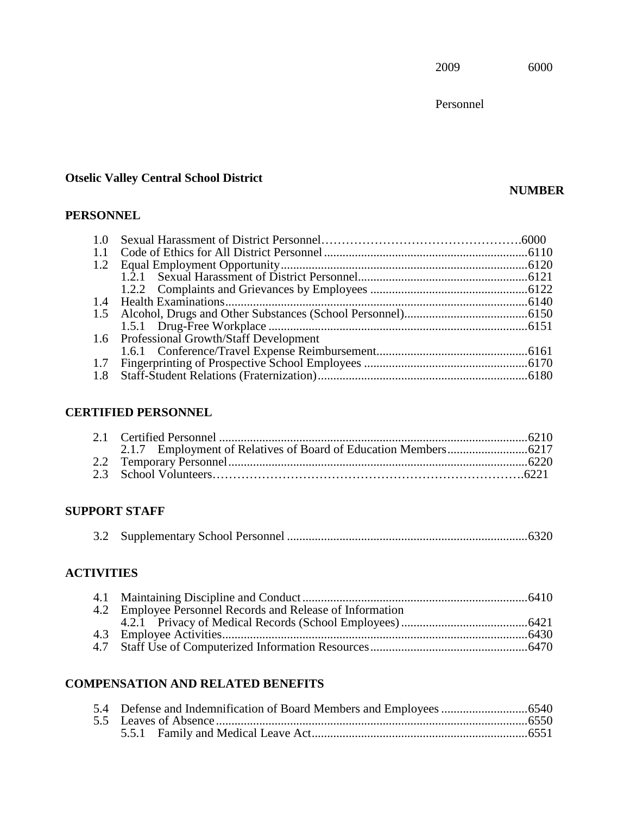Personnel

# **Otselic Valley Central School District**

# **PERSONNEL**

| 1.0 |                                           |  |
|-----|-------------------------------------------|--|
| 1.1 |                                           |  |
| 1.2 |                                           |  |
|     |                                           |  |
|     |                                           |  |
|     |                                           |  |
| 1.5 |                                           |  |
|     |                                           |  |
|     | 1.6 Professional Growth/Staff Development |  |
|     |                                           |  |
| 1.7 |                                           |  |
| 1.8 |                                           |  |
|     |                                           |  |

# **CERTIFIED PERSONNEL**

# **SUPPORT STAFF**

|--|--|--|

# **ACTIVITIES**

| 4.2 Employee Personnel Records and Release of Information |  |
|-----------------------------------------------------------|--|
|                                                           |  |
|                                                           |  |
|                                                           |  |

# **COMPENSATION AND RELATED BENEFITS**

# **NUMBER**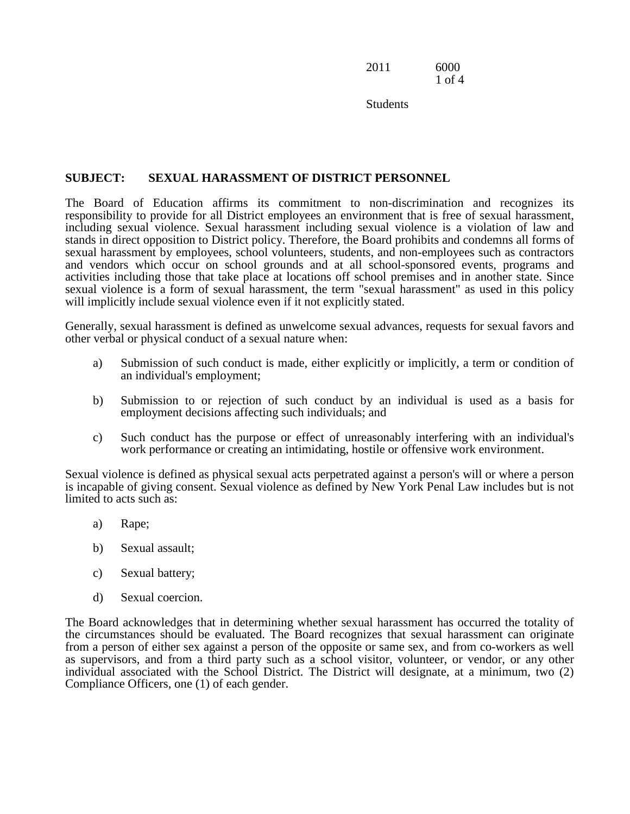2011 6000 1 of 4

**Students** 

# **SUBJECT: SEXUAL HARASSMENT OF DISTRICT PERSONNEL**

 The Board of Education affirms its commitment to non-discrimination and recognizes its and vendors which occur on school grounds and at all school-sponsored events, programs and responsibility to provide for all District employees an environment that is free of sexual harassment, including sexual violence. Sexual harassment including sexual violence is a violation of law and stands in direct opposition to District policy. Therefore, the Board prohibits and condemns all forms of sexual harassment by employees, school volunteers, students, and non-employees such as contractors activities including those that take place at locations off school premises and in another state. Since sexual violence is a form of sexual harassment, the term "sexual harassment" as used in this policy will implicitly include sexual violence even if it not explicitly stated.

Generally, sexual harassment is defined as unwelcome sexual advances, requests for sexual favors and other verbal or physical conduct of a sexual nature when:

- an individual's employment; a) Submission of such conduct is made, either explicitly or implicitly, a term or condition of
- an individual's employment;<br>
b) Submission to or rejection of such conduct by an individual is used as a basis for employment decisions affecting such individuals; and
- c) Such conduct has the purpose or effect of unreasonably interfering with an individual's work performance or creating an intimidating, hostile or offensive work environment.

 Sexual violence is defined as physical sexual acts perpetrated against a person's will or where a person is incapable of giving consent. Sexual violence as defined by New York Penal Law includes but is not limited to acts such as:

- a) Rape;
- b) Sexual assault;
- c) Sexual battery;
- d) Sexual coercion.

The Board acknowledges that in determining whether sexual harassment has occurred the totality of the circumstances should be evaluated. The Board recognizes that sexual harassment can originate from a person of either sex against a person of the opposite or same sex, and from co-workers as well as supervisors, and from a third party such as a school visitor, volunteer, or vendor, or any other individual associated with the School District. The District will designate, at a minimum, two (2) Compliance Officers, one (1) of each gender.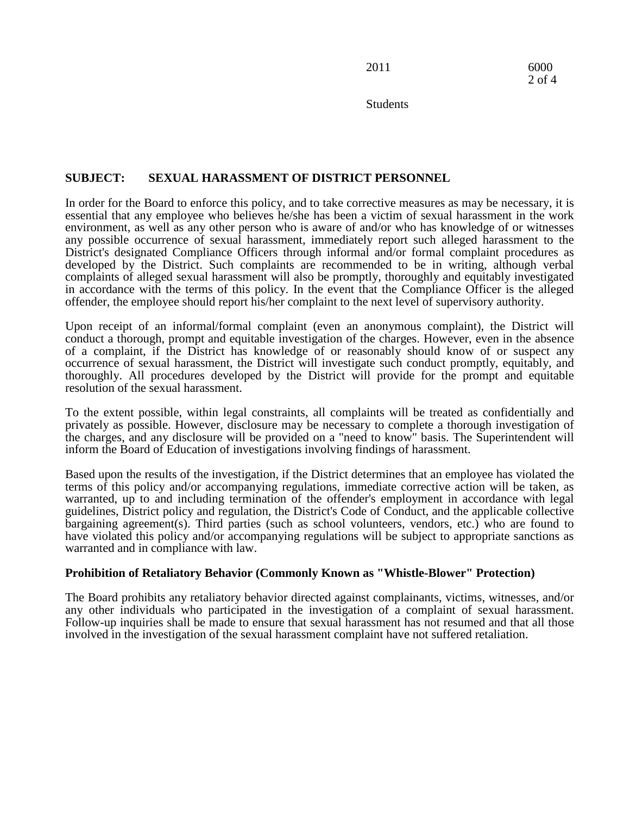**Students** 

# **SUBJECT: SEXUAL HARASSMENT OF DISTRICT PERSONNEL**

In order for the Board to enforce this policy, and to take corrective measures as may be necessary, it is essential that any employee who believes he/she has been a victim of sexual harassment in the work environment, as well as any other person who is aware of and/or who has knowledge of or witnesses any possible occurrence of sexual harassment, immediately report such alleged harassment to the District's designated Compliance Officers through informal and/or formal complaint procedures as developed by the District. Such complaints are recommended to be in writing, although verbal complaints of alleged sexual harassment will also be promptly, thoroughly and equitably investigated in accordance with the terms of this policy. In the event that the Compliance Officer is the alleged offender, the employee should report his/her complaint to the next level of supervisory authority.

 of a complaint, if the District has knowledge of or reasonably should know of or suspect any Upon receipt of an informal/formal complaint (even an anonymous complaint), the District will conduct a thorough, prompt and equitable investigation of the charges. However, even in the absence occurrence of sexual harassment, the District will investigate such conduct promptly, equitably, and thoroughly. All procedures developed by the District will provide for the prompt and equitable resolution of the sexual harassment.

 To the extent possible, within legal constraints, all complaints will be treated as confidentially and privately as possible. However, disclosure may be necessary to complete a thorough investigation of the charges, and any disclosure will be provided on a "need to know" basis. The Superintendent will inform the Board of Education of investigations involving findings of harassment.

 Based upon the results of the investigation, if the District determines that an employee has violated the terms of this policy and/or accompanying regulations, immediate corrective action will be taken, as warranted, up to and including termination of the offender's employment in accordance with legal guidelines, District policy and regulation, the District's Code of Conduct, and the applicable collective bargaining agreement(s). Third parties (such as school volunteers, vendors, etc.) who are found to have violated this policy and/or accompanying regulations will be subject to appropriate sanctions as warranted and in compliance with law.

# **Prohibition of Retaliatory Behavior (Commonly Known as "Whistle-Blower" Protection)**

The Board prohibits any retaliatory behavior directed against complainants, victims, witnesses, and/or any other individuals who participated in the investigation of a complaint of sexual harassment. Follow-up inquiries shall be made to ensure that sexual harassment has not resumed and that all those involved in the investigation of the sexual harassment complaint have not suffered retaliation.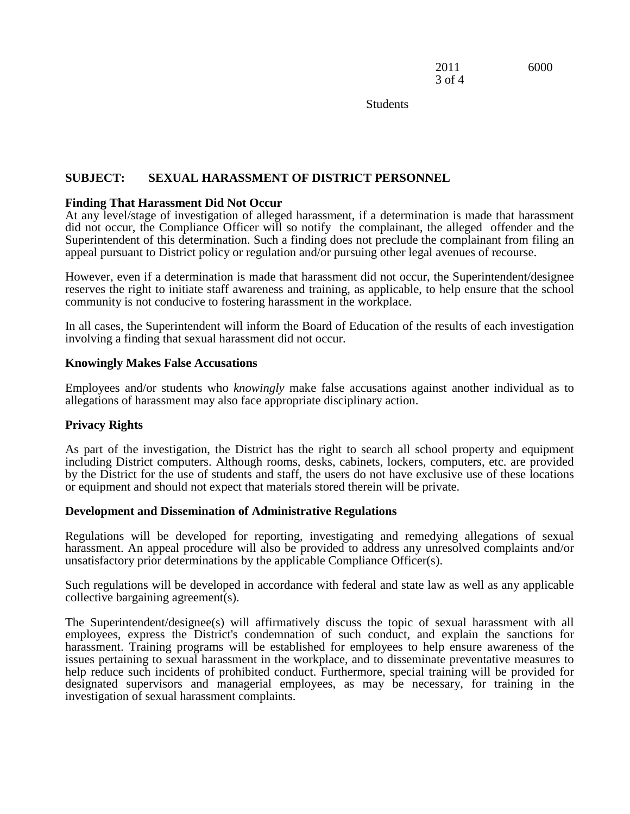3 of 4

2011 6000

**Students** 

# **SUBJECT: SEXUAL HARASSMENT OF DISTRICT PERSONNEL**

#### **Finding That Harassment Did Not Occur**

 did not occur, the Compliance Officer will so notify the complainant, the alleged offender and the appeal pursuant to District policy or regulation and/or pursuing other legal avenues of recourse. At any level/stage of investigation of alleged harassment, if a determination is made that harassment Superintendent of this determination. Such a finding does not preclude the complainant from filing an

 reserves the right to initiate staff awareness and training, as applicable, to help ensure that the school However, even if a determination is made that harassment did not occur, the Superintendent/designee community is not conducive to fostering harassment in the workplace.

In all cases, the Superintendent will inform the Board of Education of the results of each investigation involving a finding that sexual harassment did not occur.

#### **Knowingly Makes False Accusations**

Employees and/or students who *knowingly* make false accusations against another individual as to allegations of harassment may also face appropriate disciplinary action.

# **Privacy Rights**

As part of the investigation, the District has the right to search all school property and equipment including District computers. Although rooms, desks, cabinets, lockers, computers, etc. are provided by the District for the use of students and staff, the users do not have exclusive use of these locations or equipment and should not expect that materials stored therein will be private.

#### **Development and Dissemination of Administrative Regulations**

Regulations will be developed for reporting, investigating and remedying allegations of sexual harassment. An appeal procedure will also be provided to address any unresolved complaints and/or unsatisfactory prior determinations by the applicable Compliance Officer(s).

 Such regulations will be developed in accordance with federal and state law as well as any applicable collective bargaining agreement(s).

The Superintendent/designee(s) will affirmatively discuss the topic of sexual harassment with all employees, express the District's condemnation of such conduct, and explain the sanctions for harassment. Training programs will be established for employees to help ensure awareness of the issues pertaining to sexual harassment in the workplace, and to disseminate preventative measures to help reduce such incidents of prohibited conduct. Furthermore, special training will be provided for designated supervisors and managerial employees, as may be necessary, for training in the investigation of sexual harassment complaints.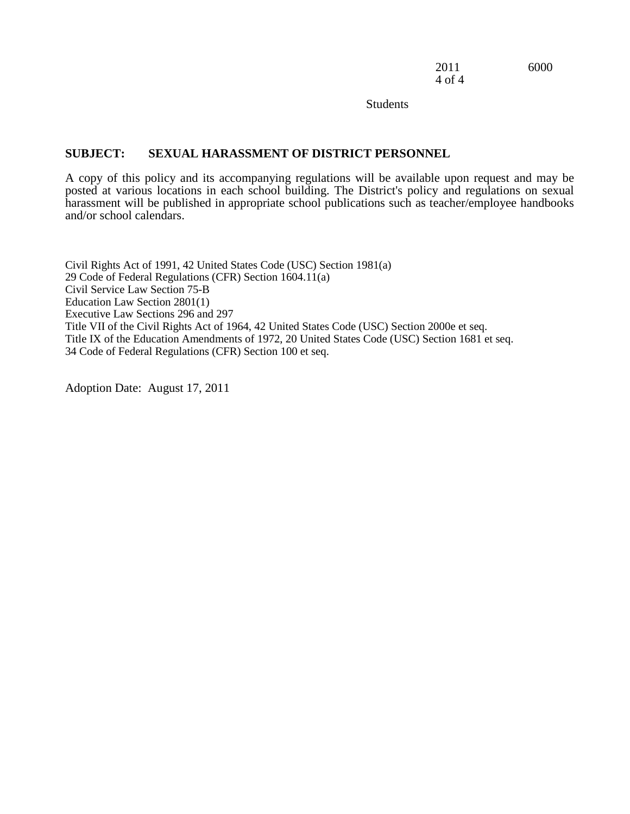2011 6000 4 of 4

**Students** 

# **SUBJECT: SEXUAL HARASSMENT OF DISTRICT PERSONNEL**

A copy of this policy and its accompanying regulations will be available upon request and may be posted at various locations in each school building. The District's policy and regulations on sexual harassment will be published in appropriate school publications such as teacher/employee handbooks and/or school calendars.

 Education Law Section 2801(1) Civil Rights Act of 1991, 42 United States Code (USC) Section 1981(a) 29 Code of Federal Regulations (CFR) Section 1604.11(a) Civil Service Law Section 75-B Executive Law Sections 296 and 297 Title VII of the Civil Rights Act of 1964, 42 United States Code (USC) Section 2000e et seq. Title IX of the Education Amendments of 1972, 20 United States Code (USC) Section 1681 et seq. 34 Code of Federal Regulations (CFR) Section 100 et seq.

Adoption Date: August 17, 2011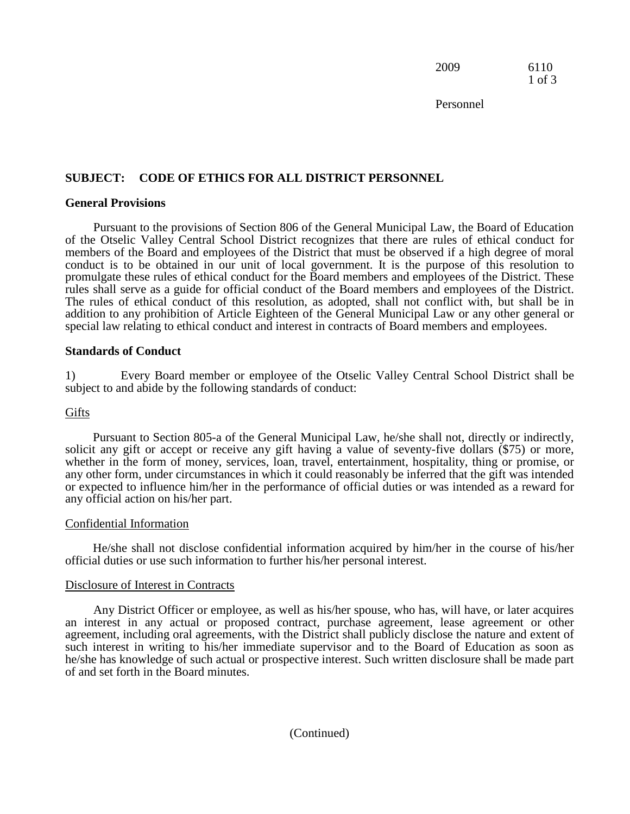2009 6110 1 of 3

Personnel

# **SUBJECT: CODE OF ETHICS FOR ALL DISTRICT PERSONNEL General Provisions**

Pursuant to the provisions of Section 806 of the General Municipal Law, the Board of Education of the Otselic Valley Central School District recognizes that there are rules of ethical conduct for members of the Board and employees of the District that must be observed if a high degree of moral conduct is to be obtained in our unit of local government. It is the purpose of this resolution to promulgate these rules of ethical conduct for the Board members and employees of the District. These rules shall serve as a guide for official conduct of the Board members and employees of the District. The rules of ethical conduct of this resolution, as adopted, shall not conflict with, but shall be in addition to any prohibition of Article Eighteen of the General Municipal Law or any other general or special law relating to ethical conduct and interest in contracts of Board members and employees.

#### **Standards of Conduct**

1) Every Board member or employee of the Otselic Valley Central School District shall be subject to and abide by the following standards of conduct:

#### **Gifts**

 solicit any gift or accept or receive any gift having a value of seventy-five dollars (\$75) or more, any other form, under circumstances in which it could reasonably be inferred that the gift was intended Pursuant to Section 805-a of the General Municipal Law, he/she shall not, directly or indirectly, whether in the form of money, services, loan, travel, entertainment, hospitality, thing or promise, or or expected to influence him/her in the performance of official duties or was intended as a reward for any official action on his/her part.

#### Confidential Information

He/she shall not disclose confidential information acquired by him/her in the course of his/her official duties or use such information to further his/her personal interest.

#### Disclosure of Interest in Contracts

 Any District Officer or employee, as well as his/her spouse, who has, will have, or later acquires an interest in any actual or proposed contract, purchase agreement, lease agreement or other agreement, including oral agreements, with the District shall publicly disclose the nature and extent of such interest in writing to his/her immediate supervisor and to the Board of Education as soon as he/she has knowledge of such actual or prospective interest. Such written disclosure shall be made part of and set forth in the Board minutes.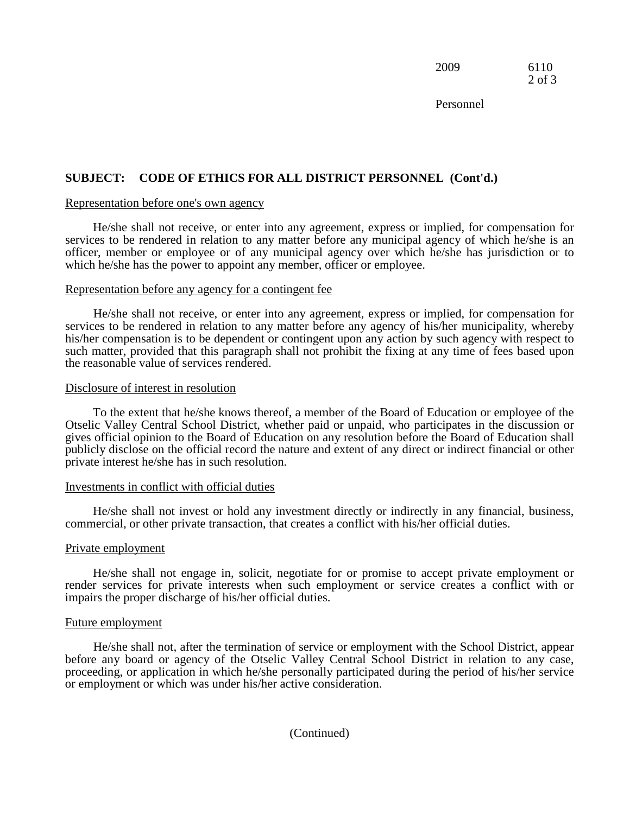2009 6110 2 of 3

Personnel

# **SUBJECT: CODE OF ETHICS FOR ALL DISTRICT PERSONNEL (Cont'd.)**

#### Representation before one's own agency

 which he/she has the power to appoint any member, officer or employee. He/she shall not receive, or enter into any agreement, express or implied, for compensation for services to be rendered in relation to any matter before any municipal agency of which he/she is an officer, member or employee or of any municipal agency over which he/she has jurisdiction or to

# Representation before any agency for a contingent fee

He/she shall not receive, or enter into any agreement, express or implied, for compensation for services to be rendered in relation to any matter before any agency of his/her municipality, whereby his/her compensation is to be dependent or contingent upon any action by such agency with respect to such matter, provided that this paragraph shall not prohibit the fixing at any time of fees based upon the reasonable value of services rendered.

#### Disclosure of interest in resolution

 publicly disclose on the official record the nature and extent of any direct or indirect financial or other To the extent that he/she knows thereof, a member of the Board of Education or employee of the Otselic Valley Central School District, whether paid or unpaid, who participates in the discussion or gives official opinion to the Board of Education on any resolution before the Board of Education shall private interest he/she has in such resolution.

#### Investments in conflict with official duties

He/she shall not invest or hold any investment directly or indirectly in any financial, business, commercial, or other private transaction, that creates a conflict with his/her official duties.

#### Private employment

He/she shall not engage in, solicit, negotiate for or promise to accept private employment or render services for private interests when such employment or service creates a conflict with or impairs the proper discharge of his/her official duties.

#### Future employment

 or employment or which was under his/her active consideration. He/she shall not, after the termination of service or employment with the School District, appear before any board or agency of the Otselic Valley Central School District in relation to any case, proceeding, or application in which he/she personally participated during the period of his/her service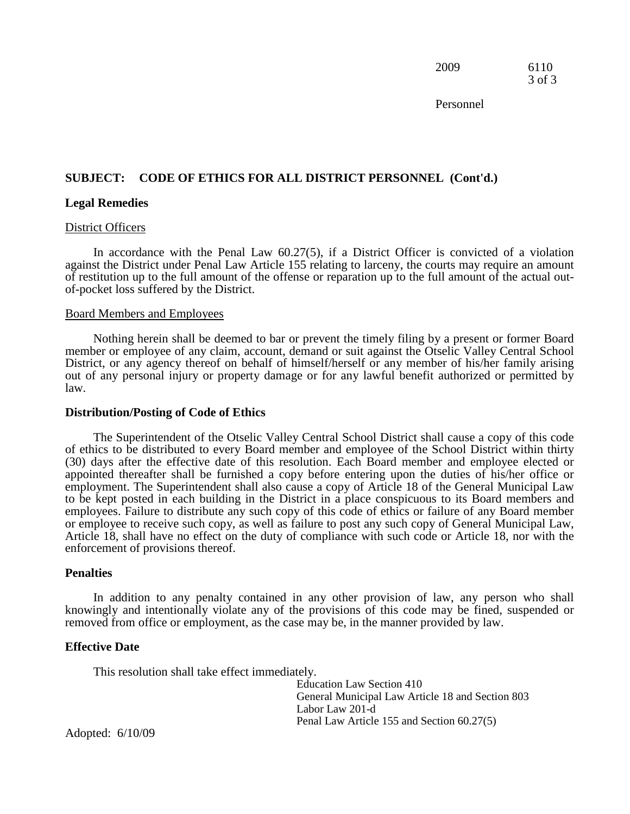2009 6110 3 of 3

Personnel

# **SUBJECT: CODE OF ETHICS FOR ALL DISTRICT PERSONNEL (Cont'd.) Legal Remedies**

#### District Officers

 In accordance with the Penal Law 60.27(5), if a District Officer is convicted of a violation of-pocket loss suffered by the District. against the District under Penal Law Article 155 relating to larceny, the courts may require an amount of restitution up to the full amount of the offense or reparation up to the full amount of the actual out-

#### Board Members and Employees

 member or employee of any claim, account, demand or suit against the Otselic Valley Central School District, or any agency thereof on behalf of himself/herself or any member of his/her family arising Nothing herein shall be deemed to bar or prevent the timely filing by a present or former Board out of any personal injury or property damage or for any lawful benefit authorized or permitted by law.

#### **Distribution/Posting of Code of Ethics**

 appointed thereafter shall be furnished a copy before entering upon the duties of his/her office or employment. The Superintendent shall also cause a copy of Article 18 of the General Municipal Law The Superintendent of the Otselic Valley Central School District shall cause a copy of this code of ethics to be distributed to every Board member and employee of the School District within thirty (30) days after the effective date of this resolution. Each Board member and employee elected or to be kept posted in each building in the District in a place conspicuous to its Board members and employees. Failure to distribute any such copy of this code of ethics or failure of any Board member or employee to receive such copy, as well as failure to post any such copy of General Municipal Law, Article 18, shall have no effect on the duty of compliance with such code or Article 18, nor with the enforcement of provisions thereof.

#### **Penalties**

 knowingly and intentionally violate any of the provisions of this code may be fined, suspended or In addition to any penalty contained in any other provision of law, any person who shall removed from office or employment, as the case may be, in the manner provided by law.

#### **Effective Date**

This resolution shall take effect immediately.

 General Municipal Law Article 18 and Section 803 Education Law Section 410 Labor Law 201-d Penal Law Article 155 and Section 60.27(5)

Adopted: 6/10/09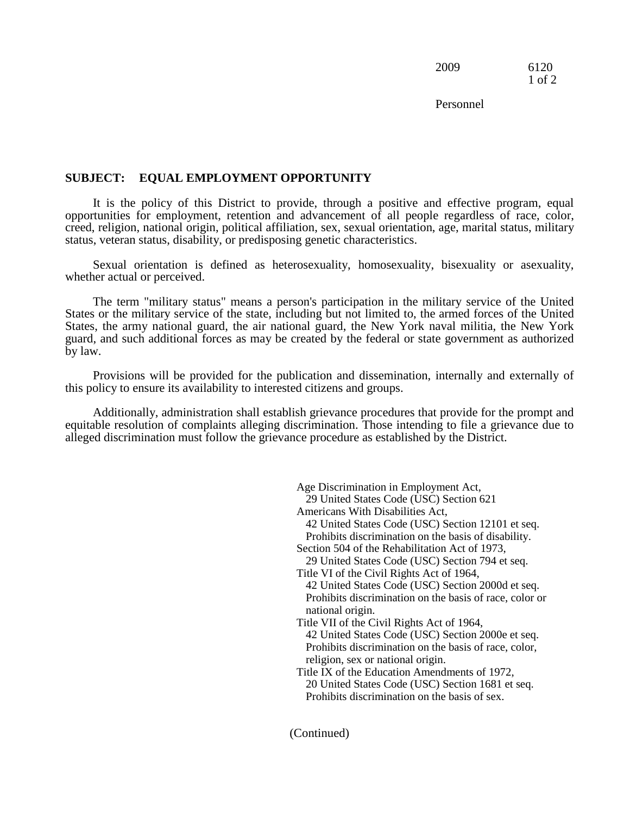2009 6120 1 of 2

Personnel

# **SUBJECT: EQUAL EMPLOYMENT OPPORTUNITY**

 opportunities for employment, retention and advancement of all people regardless of race, color, It is the policy of this District to provide, through a positive and effective program, equal creed, religion, national origin, political affiliation, sex, sexual orientation, age, marital status, military status, veteran status, disability, or predisposing genetic characteristics.

Sexual orientation is defined as heterosexuality, homosexuality, bisexuality or asexuality, whether actual or perceived.

The term "military status" means a person's participation in the military service of the United States or the military service of the state, including but not limited to, the armed forces of the United States, the army national guard, the air national guard, the New York naval militia, the New York guard, and such additional forces as may be created by the federal or state government as authorized by law.

Provisions will be provided for the publication and dissemination, internally and externally of this policy to ensure its availability to interested citizens and groups.

Additionally, administration shall establish grievance procedures that provide for the prompt and equitable resolution of complaints alleging discrimination. Those intending to file a grievance due to alleged discrimination must follow the grievance procedure as established by the District.

> 42 United States Code (USC) Section 12101 et seq. Section 504 of the Rehabilitation Act of 1973, Title VI of the Civil Rights Act of 1964, 42 United States Code (USC) Section 2000d et seq. national origin. 42 United States Code (USC) Section 2000e et seq. religion, sex or national origin. Age Discrimination in Employment Act, 29 United States Code (USC) Section 621 Americans With Disabilities Act, Prohibits discrimination on the basis of disability. 29 United States Code (USC) Section 794 et seq. Prohibits discrimination on the basis of race, color or Title VII of the Civil Rights Act of 1964, Prohibits discrimination on the basis of race, color, Title IX of the Education Amendments of 1972, 20 United States Code (USC) Section 1681 et seq. Prohibits discrimination on the basis of sex.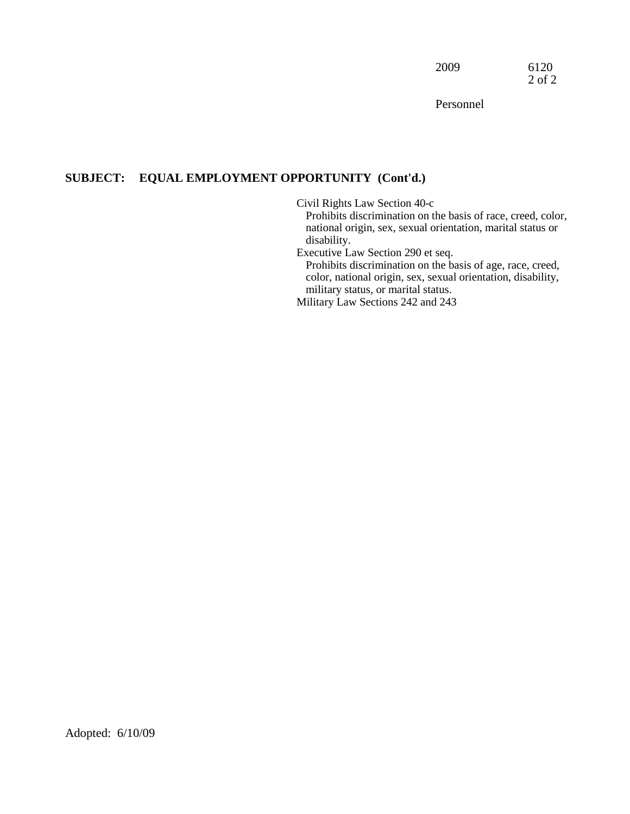2009 6120 2 of 2

Personnel

# **SUBJECT: EQUAL EMPLOYMENT OPPORTUNITY (Cont'd.)**

Civil Rights Law Section 40-c

 national origin, sex, sexual orientation, marital status or Prohibits discrimination on the basis of race, creed, color, disability.

Executive Law Section 290 et seq.

Prohibits discrimination on the basis of age, race, creed, color, national origin, sex, sexual orientation, disability, military status, or marital status.

Military Law Sections 242 and 243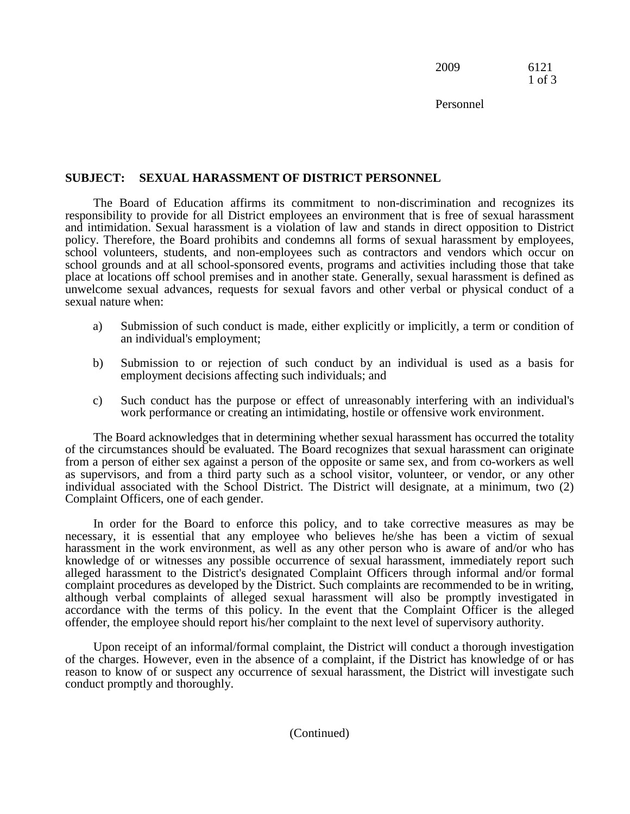2009 6121 1 of 3

Personnel

# **SUBJECT: SEXUAL HARASSMENT OF DISTRICT PERSONNEL**

The Board of Education affirms its commitment to non-discrimination and recognizes its responsibility to provide for all District employees an environment that is free of sexual harassment and intimidation. Sexual harassment is a violation of law and stands in direct opposition to District policy. Therefore, the Board prohibits and condemns all forms of sexual harassment by employees, school volunteers, students, and non-employees such as contractors and vendors which occur on school grounds and at all school-sponsored events, programs and activities including those that take place at locations off school premises and in another state. Generally, sexual harassment is defined as unwelcome sexual advances, requests for sexual favors and other verbal or physical conduct of a sexual nature when:

- a) Submission of such conduct is made, either explicitly or implicitly, a term or condition of an individual's employment;
- b) Submission to or rejection of such conduct by an individual is used as a basis for employment decisions affecting such individuals; and
- c) Such conduct has the purpose or effect of unreasonably interfering with an individual's work performance or creating an intimidating, hostile or offensive work environment.

The Board acknowledges that in determining whether sexual harassment has occurred the totality of the circumstances should be evaluated. The Board recognizes that sexual harassment can originate from a person of either sex against a person of the opposite or same sex, and from co-workers as well as supervisors, and from a third party such as a school visitor, volunteer, or vendor, or any other individual associated with the School District. The District will designate, at a minimum, two (2) Complaint Officers, one of each gender.

In order for the Board to enforce this policy, and to take corrective measures as may be necessary, it is essential that any employee who believes he/she has been a victim of sexual harassment in the work environment, as well as any other person who is aware of and/or who has knowledge of or witnesses any possible occurrence of sexual harassment, immediately report such alleged harassment to the District's designated Complaint Officers through informal and/or formal complaint procedures as developed by the District. Such complaints are recommended to be in writing, although verbal complaints of alleged sexual harassment will also be promptly investigated in accordance with the terms of this policy. In the event that the Complaint Officer is the alleged offender, the employee should report his/her complaint to the next level of supervisory authority.

Upon receipt of an informal/formal complaint, the District will conduct a thorough investigation of the charges. However, even in the absence of a complaint, if the District has knowledge of or has reason to know of or suspect any occurrence of sexual harassment, the District will investigate such conduct promptly and thoroughly.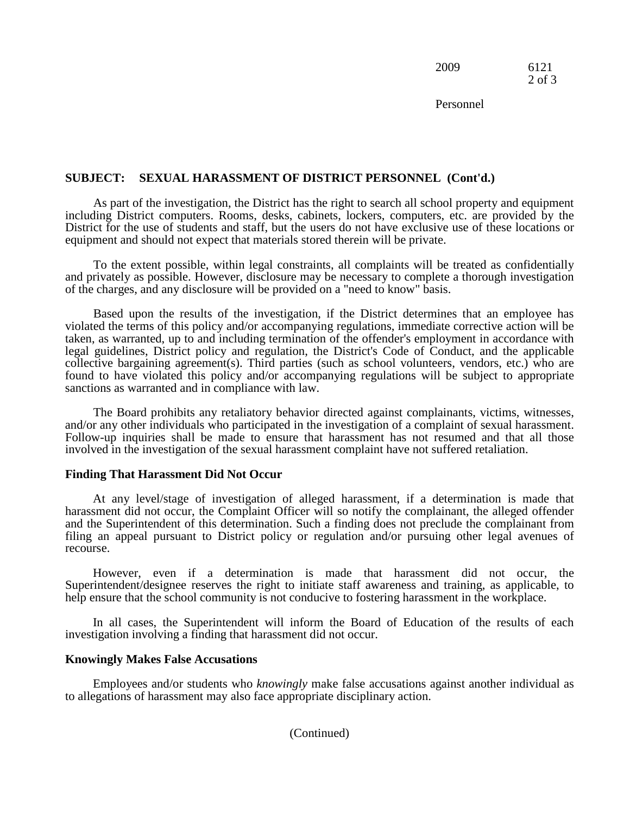2009 6121 2 of 3

Personnel

# **SUBJECT: SEXUAL HARASSMENT OF DISTRICT PERSONNEL (Cont'd.)**

As part of the investigation, the District has the right to search all school property and equipment including District computers. Rooms, desks, cabinets, lockers, computers, etc. are provided by the District for the use of students and staff, but the users do not have exclusive use of these locations or equipment and should not expect that materials stored therein will be private.

 of the charges, and any disclosure will be provided on a "need to know" basis. To the extent possible, within legal constraints, all complaints will be treated as confidentially and privately as possible. However, disclosure may be necessary to complete a thorough investigation

 violated the terms of this policy and/or accompanying regulations, immediate corrective action will be legal guidelines, District policy and regulation, the District's Code of Conduct, and the applicable Based upon the results of the investigation, if the District determines that an employee has taken, as warranted, up to and including termination of the offender's employment in accordance with collective bargaining agreement(s). Third parties (such as school volunteers, vendors, etc.) who are found to have violated this policy and/or accompanying regulations will be subject to appropriate sanctions as warranted and in compliance with law.

 Follow-up inquiries shall be made to ensure that harassment has not resumed and that all those The Board prohibits any retaliatory behavior directed against complainants, victims, witnesses, and/or any other individuals who participated in the investigation of a complaint of sexual harassment. involved in the investigation of the sexual harassment complaint have not suffered retaliation.

# **Finding That Harassment Did Not Occur**

At any level/stage of investigation of alleged harassment, if a determination is made that harassment did not occur, the Complaint Officer will so notify the complainant, the alleged offender and the Superintendent of this determination. Such a finding does not preclude the complainant from filing an appeal pursuant to District policy or regulation and/or pursuing other legal avenues of recourse.

 Superintendent/designee reserves the right to initiate staff awareness and training, as applicable, to However, even if a determination is made that harassment did not occur, the help ensure that the school community is not conducive to fostering harassment in the workplace.

In all cases, the Superintendent will inform the Board of Education of the results of each investigation involving a finding that harassment did not occur.

# **Knowingly Makes False Accusations**

Employees and/or students who *knowingly* make false accusations against another individual as to allegations of harassment may also face appropriate disciplinary action.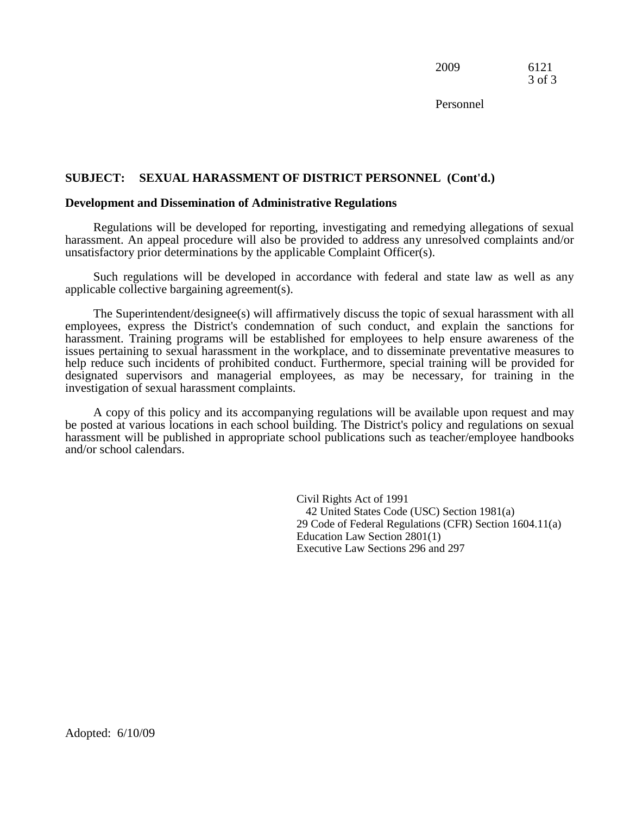2009 6121 3 of 3

Personnel

#### **SUBJECT: SEXUAL HARASSMENT OF DISTRICT PERSONNEL (Cont'd.)**

#### **Development and Dissemination of Administrative Regulations**

Regulations will be developed for reporting, investigating and remedying allegations of sexual harassment. An appeal procedure will also be provided to address any unresolved complaints and/or unsatisfactory prior determinations by the applicable Complaint Officer(s).

 Such regulations will be developed in accordance with federal and state law as well as any applicable collective bargaining agreement(s).

The Superintendent/designee(s) will affirmatively discuss the topic of sexual harassment with all employees, express the District's condemnation of such conduct, and explain the sanctions for harassment. Training programs will be established for employees to help ensure awareness of the issues pertaining to sexual harassment in the workplace, and to disseminate preventative measures to help reduce such incidents of prohibited conduct. Furthermore, special training will be provided for designated supervisors and managerial employees, as may be necessary, for training in the investigation of sexual harassment complaints.

 A copy of this policy and its accompanying regulations will be available upon request and may be posted at various locations in each school building. The District's policy and regulations on sexual harassment will be published in appropriate school publications such as teacher/employee handbooks and/or school calendars.

> 29 Code of Federal Regulations (CFR) Section 1604.11(a) Education Law Section 2801(1) Civil Rights Act of 1991 42 United States Code (USC) Section 1981(a) Executive Law Sections 296 and 297

Adopted: 6/10/09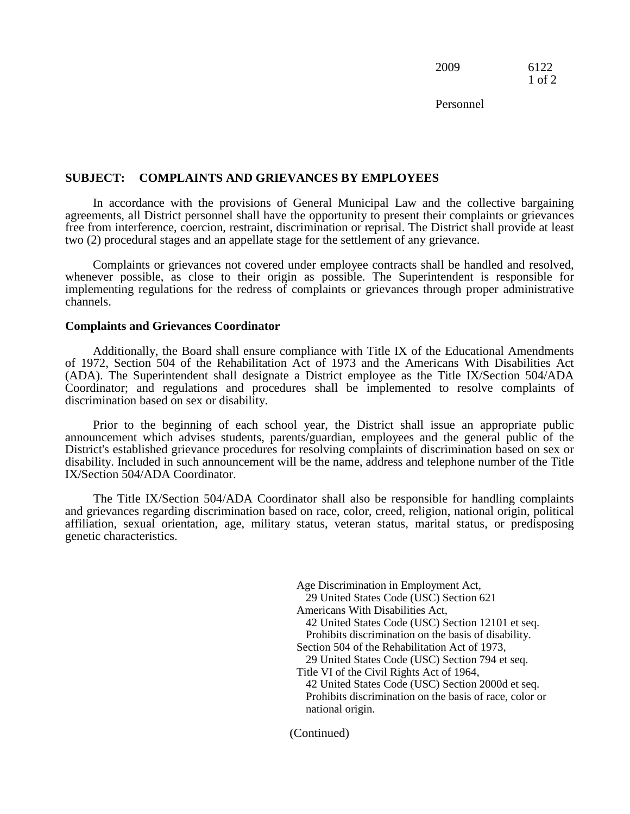2009 6122 1 of 2

Personnel

#### **SUBJECT: COMPLAINTS AND GRIEVANCES BY EMPLOYEES**

 In accordance with the provisions of General Municipal Law and the collective bargaining agreements, all District personnel shall have the opportunity to present their complaints or grievances free from interference, coercion, restraint, discrimination or reprisal. The District shall provide at least two (2) procedural stages and an appellate stage for the settlement of any grievance.

 whenever possible, as close to their origin as possible. The Superintendent is responsible for Complaints or grievances not covered under employee contracts shall be handled and resolved, implementing regulations for the redress of complaints or grievances through proper administrative channels.

#### **Complaints and Grievances Coordinator**

 Additionally, the Board shall ensure compliance with Title IX of the Educational Amendments (ADA). The Superintendent shall designate a District employee as the Title IX/Section 504/ADA of 1972, Section 504 of the Rehabilitation Act of 1973 and the Americans With Disabilities Act Coordinator; and regulations and procedures shall be implemented to resolve complaints of discrimination based on sex or disability.

Prior to the beginning of each school year, the District shall issue an appropriate public announcement which advises students, parents/guardian, employees and the general public of the District's established grievance procedures for resolving complaints of discrimination based on sex or disability. Included in such announcement will be the name, address and telephone number of the Title IX/Section 504/ADA Coordinator.

The Title IX/Section 504/ADA Coordinator shall also be responsible for handling complaints and grievances regarding discrimination based on race, color, creed, religion, national origin, political affiliation, sexual orientation, age, military status, veteran status, marital status, or predisposing genetic characteristics.

> 42 United States Code (USC) Section 12101 et seq. Title VI of the Civil Rights Act of 1964, 42 United States Code (USC) Section 2000d et seq. Age Discrimination in Employment Act, 29 United States Code (USC) Section 621 Americans With Disabilities Act, Prohibits discrimination on the basis of disability. Section 504 of the Rehabilitation Act of 1973, 29 United States Code (USC) Section 794 et seq. Prohibits discrimination on the basis of race, color or national origin.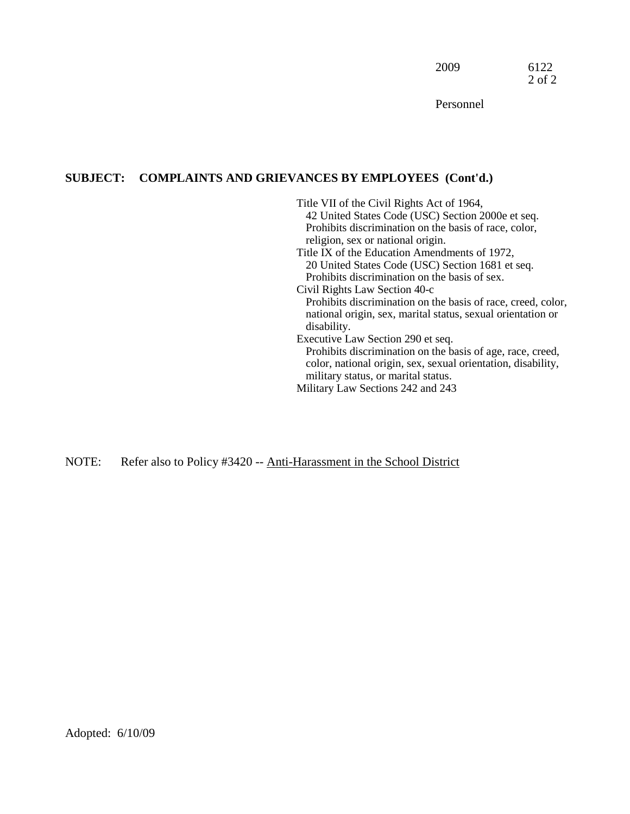Personnel

# **SUBJECT: COMPLAINTS AND GRIEVANCES BY EMPLOYEES (Cont'd.)**

 religion, sex or national origin. Title VII of the Civil Rights Act of 1964, 42 United States Code (USC) Section 2000e et seq. Prohibits discrimination on the basis of race, color, Title IX of the Education Amendments of 1972, 20 United States Code (USC) Section 1681 et seq. Prohibits discrimination on the basis of sex. Civil Rights Law Section 40-c Prohibits discrimination on the basis of race, creed, color, national origin, sex, marital status, sexual orientation or disability. Executive Law Section 290 et seq. Prohibits discrimination on the basis of age, race, creed, color, national origin, sex, sexual orientation, disability, military status, or marital status. Military Law Sections 242 and 243

NOTE: Refer also to Policy #3420 -- Anti-Harassment in the School District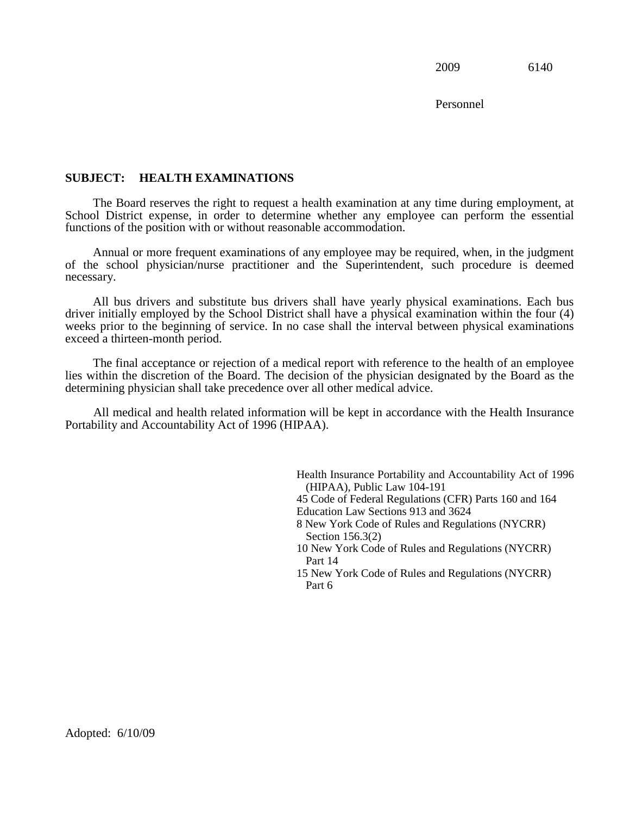Personnel

# **SUBJECT: HEALTH EXAMINATIONS**

 The Board reserves the right to request a health examination at any time during employment, at School District expense, in order to determine whether any employee can perform the essential functions of the position with or without reasonable accommodation.

Annual or more frequent examinations of any employee may be required, when, in the judgment of the school physician/nurse practitioner and the Superintendent, such procedure is deemed necessary.

 All bus drivers and substitute bus drivers shall have yearly physical examinations. Each bus driver initially employed by the School District shall have a physical examination within the four (4) weeks prior to the beginning of service. In no case shall the interval between physical examinations exceed a thirteen-month period.

The final acceptance or rejection of a medical report with reference to the health of an employee lies within the discretion of the Board. The decision of the physician designated by the Board as the determining physician shall take precedence over all other medical advice.

All medical and health related information will be kept in accordance with the Health Insurance Portability and Accountability Act of 1996 (HIPAA).

> Health Insurance Portability and Accountability Act of 1996 10 New York Code of Rules and Regulations (NYCRR) 15 New York Code of Rules and Regulations (NYCRR) (HIPAA), Public Law 104-191 45 Code of Federal Regulations (CFR) Parts 160 and 164 Education Law Sections 913 and 3624 8 New York Code of Rules and Regulations (NYCRR) Section 156.3(2) Part 14 Part 6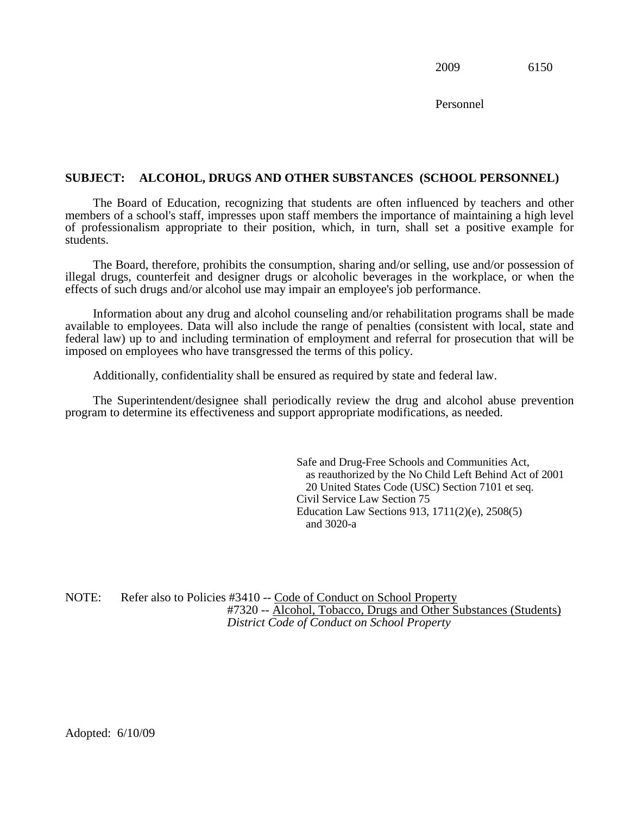Personnel

#### **SUBJECT: ALCOHOL, DRUGS AND OTHER SUBSTANCES (SCHOOL PERSONNEL)**

 of professionalism appropriate to their position, which, in turn, shall set a positive example for The Board of Education, recognizing that students are often influenced by teachers and other members of a school's staff, impresses upon staff members the importance of maintaining a high level students.

The Board, therefore, prohibits the consumption, sharing and/or selling, use and/or possession of illegal drugs, counterfeit and designer drugs or alcoholic beverages in the workplace, or when the effects of such drugs and/or alcohol use may impair an employee's job performance.

 federal law) up to and including termination of employment and referral for prosecution that will be Information about any drug and alcohol counseling and/or rehabilitation programs shall be made available to employees. Data will also include the range of penalties (consistent with local, state and imposed on employees who have transgressed the terms of this policy.

Additionally, confidentiality shall be ensured as required by state and federal law.

The Superintendent/designee shall periodically review the drug and alcohol abuse prevention program to determine its effectiveness and support appropriate modifications, as needed.

> as reauthorized by the No Child Left Behind Act of 2001 Safe and Drug-Free Schools and Communities Act, 20 United States Code (USC) Section 7101 et seq. Civil Service Law Section 75 Education Law Sections 913, 1711(2)(e), 2508(5) and 3020-a

NOTE: Refer also to Policies #3410 -- Code of Conduct on School Property #7320 -- Alcohol, Tobacco, Drugs and Other Substances (Students) *District Code of Conduct on School Property*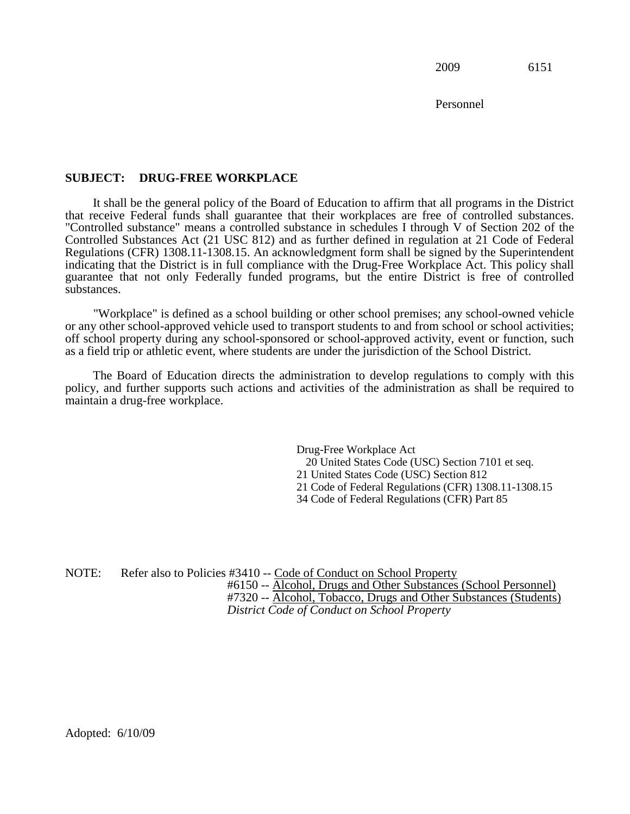Personnel

# **SUBJECT: DRUG-FREE WORKPLACE**

It shall be the general policy of the Board of Education to affirm that all programs in the District that receive Federal funds shall guarantee that their workplaces are free of controlled substances. "Controlled substance" means a controlled substance in schedules I through V of Section 202 of the Controlled Substances Act (21 USC 812) and as further defined in regulation at 21 Code of Federal Regulations (CFR) 1308.11-1308.15. An acknowledgment form shall be signed by the Superintendent indicating that the District is in full compliance with the Drug-Free Workplace Act. This policy shall guarantee that not only Federally funded programs, but the entire District is free of controlled substances.

 or any other school-approved vehicle used to transport students to and from school or school activities; "Workplace" is defined as a school building or other school premises; any school-owned vehicle off school property during any school-sponsored or school-approved activity, event or function, such as a field trip or athletic event, where students are under the jurisdiction of the School District.

The Board of Education directs the administration to develop regulations to comply with this policy, and further supports such actions and activities of the administration as shall be required to maintain a drug-free workplace.

> 34 Code of Federal Regulations (CFR) Part 85 Drug-Free Workplace Act 20 United States Code (USC) Section 7101 et seq. 21 United States Code (USC) Section 812 21 Code of Federal Regulations (CFR) 1308.11-1308.15

NOTE: Refer also to Policies #3410 -- Code of Conduct on School Property #6150 -- Alcohol, Drugs and Other Substances (School Personnel) #7320 -- Alcohol, Tobacco, Drugs and Other Substances (Students) *District Code of Conduct on School Property*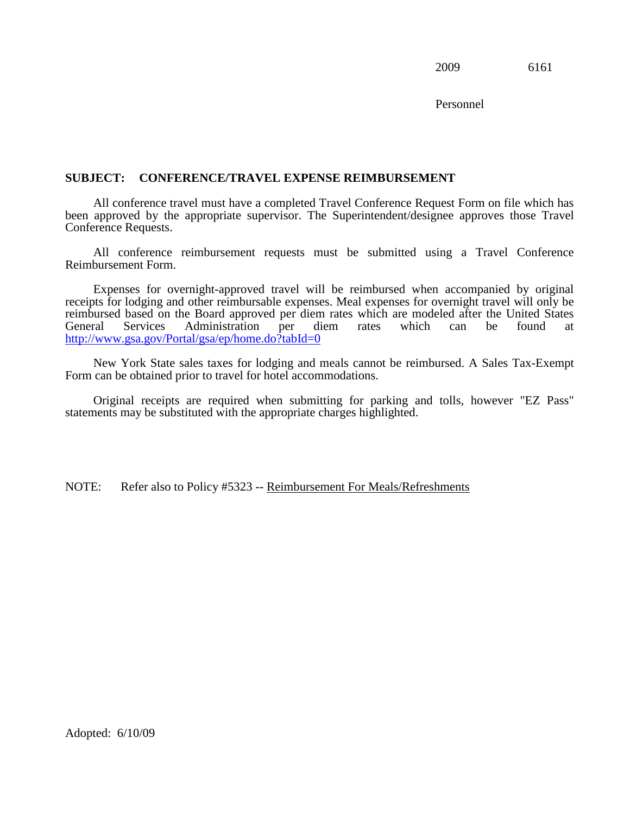Personnel

# **SUBJECT: CONFERENCE/TRAVEL EXPENSE REIMBURSEMENT**

All conference travel must have a completed Travel Conference Request Form on file which has been approved by the appropriate supervisor. The Superintendent/designee approves those Travel Conference Requests.

All conference reimbursement requests must be submitted using a Travel Conference Reimbursement Form.

 receipts for lodging and other reimbursable expenses. Meal expenses for overnight travel will only be Expenses for overnight-approved travel will be reimbursed when accompanied by original reimbursed based on the Board approved per diem rates which are modeled after the United States<br>General Services Administration per diem rates which can be found at Administration per diem rates which can be found at <http://www.gsa.gov/Portal/gsa/ep/home.do?tabId=0>

New York State sales taxes for lodging and meals cannot be reimbursed. A Sales Tax-Exempt Form can be obtained prior to travel for hotel accommodations.

 Original receipts are required when submitting for parking and tolls, however "EZ Pass" statements may be substituted with the appropriate charges highlighted.

NOTE: Refer also to Policy #5323 -- Reimbursement For Meals/Refreshments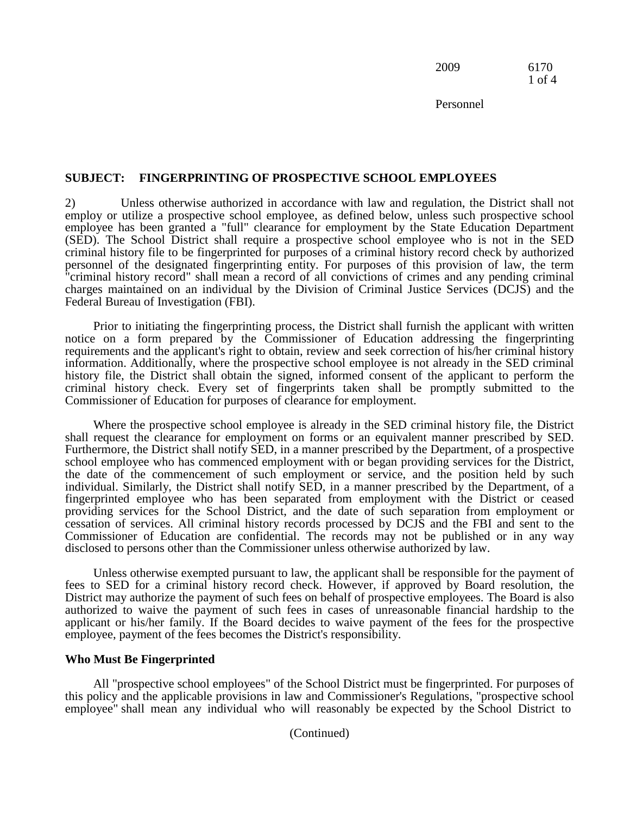2009 6170 1 of 4

Personnel

#### **SUBJECT: FINGERPRINTING OF PROSPECTIVE SCHOOL EMPLOYEES**

 "criminal history record" shall mean a record of all convictions of crimes and any pending criminal Federal Bureau of Investigation (FBI). 2) Unless otherwise authorized in accordance with law and regulation, the District shall not employ or utilize a prospective school employee, as defined below, unless such prospective school employee has been granted a "full" clearance for employment by the State Education Department (SED). The School District shall require a prospective school employee who is not in the SED criminal history file to be fingerprinted for purposes of a criminal history record check by authorized personnel of the designated fingerprinting entity. For purposes of this provision of law, the term charges maintained on an individual by the Division of Criminal Justice Services (DCJS) and the

 history file, the District shall obtain the signed, informed consent of the applicant to perform the Prior to initiating the fingerprinting process, the District shall furnish the applicant with written notice on a form prepared by the Commissioner of Education addressing the fingerprinting requirements and the applicant's right to obtain, review and seek correction of his/her criminal history information. Additionally, where the prospective school employee is not already in the SED criminal criminal history check. Every set of fingerprints taken shall be promptly submitted to the Commissioner of Education for purposes of clearance for employment.

 Commissioner of Education are confidential. The records may not be published or in any way Where the prospective school employee is already in the SED criminal history file, the District shall request the clearance for employment on forms or an equivalent manner prescribed by SED. Furthermore, the District shall notify SED, in a manner prescribed by the Department, of a prospective school employee who has commenced employment with or began providing services for the District, the date of the commencement of such employment or service, and the position held by such individual. Similarly, the District shall notify SED, in a manner prescribed by the Department, of a fingerprinted employee who has been separated from employment with the District or ceased providing services for the School District, and the date of such separation from employment or cessation of services. All criminal history records processed by DCJS and the FBI and sent to the disclosed to persons other than the Commissioner unless otherwise authorized by law.

Unless otherwise exempted pursuant to law, the applicant shall be responsible for the payment of fees to SED for a criminal history record check. However, if approved by Board resolution, the District may authorize the payment of such fees on behalf of prospective employees. The Board is also authorized to waive the payment of such fees in cases of unreasonable financial hardship to the applicant or his/her family. If the Board decides to waive payment of the fees for the prospective employee, payment of the fees becomes the District's responsibility.

#### **Who Must Be Fingerprinted**

 employee" shall mean any individual who will reasonably be expected by the School District to All "prospective school employees" of the School District must be fingerprinted. For purposes of this policy and the applicable provisions in law and Commissioner's Regulations, "prospective school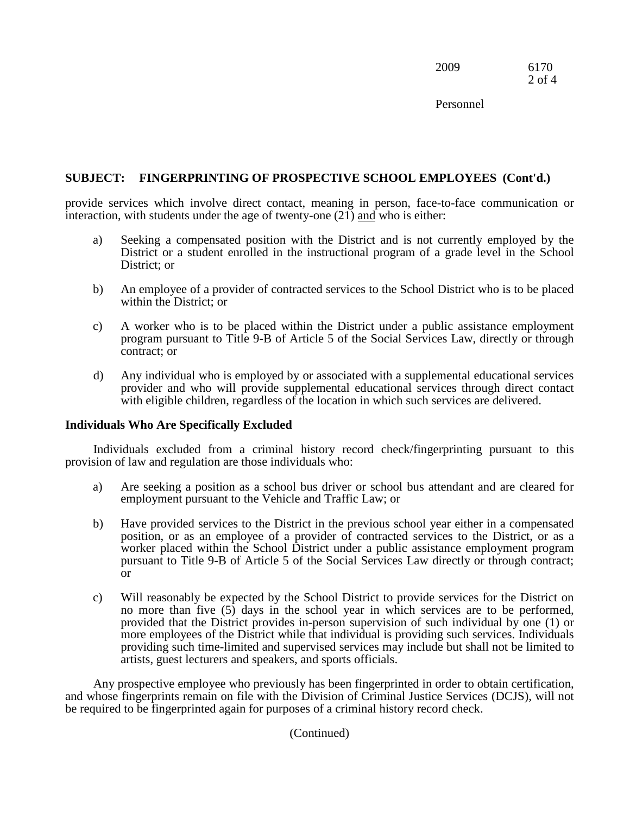| 2009 | 6170   |
|------|--------|
|      | 2 of 4 |

Personnel

# **SUBJECT: FINGERPRINTING OF PROSPECTIVE SCHOOL EMPLOYEES (Cont'd.)**

provide services which involve direct contact, inealing in person, race-to-<br>interaction, with students under the age of twenty-one (21) <u>and</u> who is either: provide services which involve direct contact, meaning in person, face-to-face communication or

- a) Seeking a compensated position with the District and is not currently employed by the District or a student enrolled in the instructional program of a grade level in the School District; or
- b) An employee of a provider of contracted services to the School District who is to be placed within the District; or
- c) A worker who is to be placed within the District under a public assistance employment program pursuant to Title 9-B of Article 5 of the Social Services Law, directly or through contract; or
- d) Any individual who is employed by or associated with a supplemental educational services provider and who will provide supplemental educational services through direct contact with eligible children, regardless of the location in which such services are delivered.

# **Individuals Who Are Specifically Excluded**

Individuals excluded from a criminal history record check/fingerprinting pursuant to this provision of law and regulation are those individuals who:

- a) Are seeking a position as a school bus driver or school bus attendant and are cleared for employment pursuant to the Vehicle and Traffic Law; or
- worker placed within the School District under a public assistance employment program b) Have provided services to the District in the previous school year either in a compensated position, or as an employee of a provider of contracted services to the District, or as a pursuant to Title 9-B of Article 5 of the Social Services Law directly or through contract; or
- provided that the District provides in-person supervision of such individual by one (1) or c) Will reasonably be expected by the School District to provide services for the District on no more than five (5) days in the school year in which services are to be performed, more employees of the District while that individual is providing such services. Individuals providing such time-limited and supervised services may include but shall not be limited to artists, guest lecturers and speakers, and sports officials.

Any prospective employee who previously has been fingerprinted in order to obtain certification, and whose fingerprints remain on file with the Division of Criminal Justice Services (DCJS), will not be required to be fingerprinted again for purposes of a criminal history record check.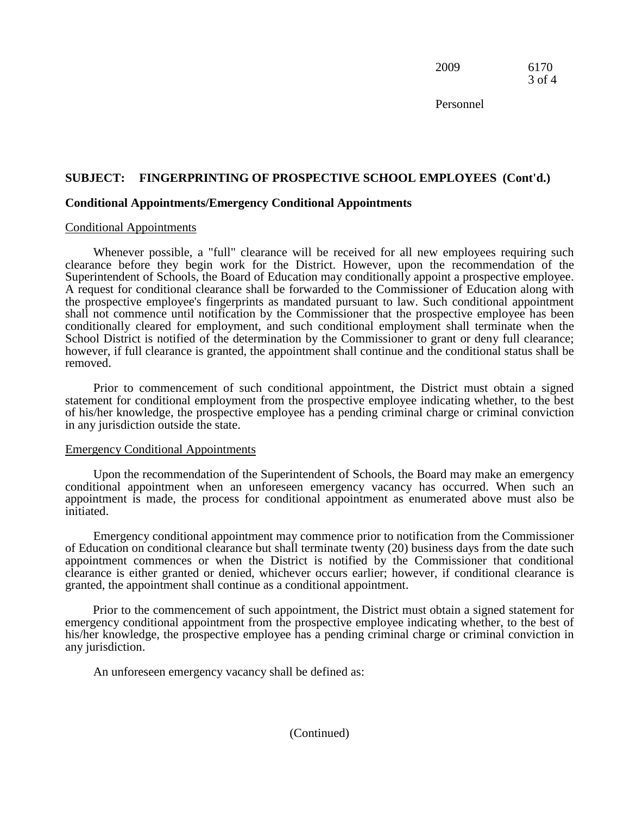2009 6170 3 of 4

Personnel

# **SUBJECT: FINGERPRINTING OF PROSPECTIVE SCHOOL EMPLOYEES (Cont'd.)**

#### **Conditional Appointments/Emergency Conditional Appointments**

#### Conditional Appointments

Whenever possible, a "full" clearance will be received for all new employees requiring such clearance before they begin work for the District. However, upon the recommendation of the Superintendent of Schools, the Board of Education may conditionally appoint a prospective employee. A request for conditional clearance shall be forwarded to the Commissioner of Education along with the prospective employee's fingerprints as mandated pursuant to law. Such conditional appointment shall not commence until notification by the Commissioner that the prospective employee has been conditionally cleared for employment, and such conditional employment shall terminate when the School District is notified of the determination by the Commissioner to grant or deny full clearance; however, if full clearance is granted, the appointment shall continue and the conditional status shall be removed.

Prior to commencement of such conditional appointment, the District must obtain a signed statement for conditional employment from the prospective employee indicating whether, to the best of his/her knowledge, the prospective employee has a pending criminal charge or criminal conviction in any jurisdiction outside the state.

#### Emergency Conditional Appointments

Upon the recommendation of the Superintendent of Schools, the Board may make an emergency conditional appointment when an unforeseen emergency vacancy has occurred. When such an appointment is made, the process for conditional appointment as enumerated above must also be initiated.

 clearance is either granted or denied, whichever occurs earlier; however, if conditional clearance is Emergency conditional appointment may commence prior to notification from the Commissioner of Education on conditional clearance but shall terminate twenty (20) business days from the date such appointment commences or when the District is notified by the Commissioner that conditional granted, the appointment shall continue as a conditional appointment.

 emergency conditional appointment from the prospective employee indicating whether, to the best of Prior to the commencement of such appointment, the District must obtain a signed statement for his/her knowledge, the prospective employee has a pending criminal charge or criminal conviction in any jurisdiction.

An unforeseen emergency vacancy shall be defined as: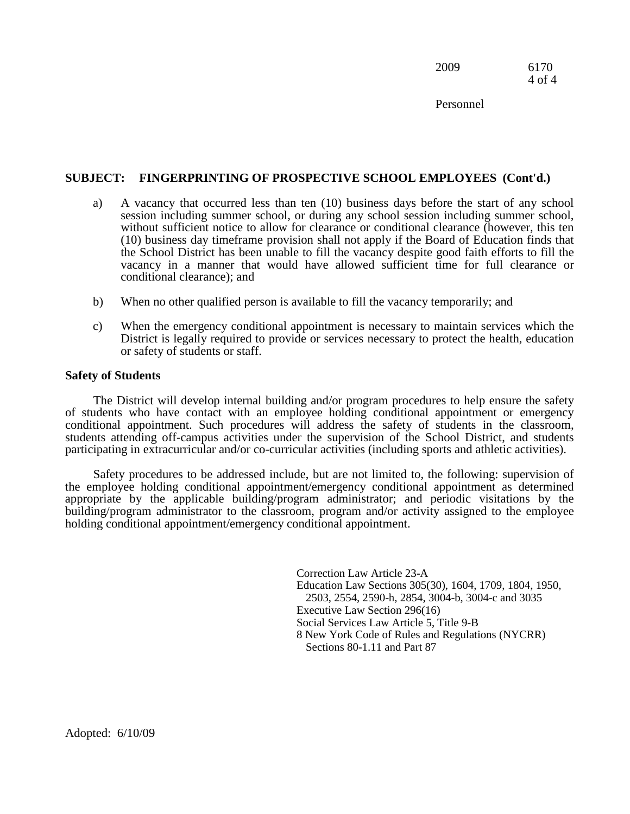2009 6170 4 of 4

Personnel

# **SUBJECT: FINGERPRINTING OF PROSPECTIVE SCHOOL EMPLOYEES (Cont'd.)**

- a) A vacancy that occurred less than ten (10) business days before the start of any school session including summer school, or during any school session including summer school, without sufficient notice to allow for clearance or conditional clearance (however, this ten (10) business day timeframe provision shall not apply if the Board of Education finds that the School District has been unable to fill the vacancy despite good faith efforts to fill the vacancy in a manner that would have allowed sufficient time for full clearance or conditional clearance); and
- b) When no other qualified person is available to fill the vacancy temporarily; and
- c) When the emergency conditional appointment is necessary to maintain services which the District is legally required to provide or services necessary to protect the health, education or safety of students or staff.

#### **Safety of Students**

The District will develop internal building and/or program procedures to help ensure the safety of students who have contact with an employee holding conditional appointment or emergency conditional appointment. Such procedures will address the safety of students in the classroom, students attending off-campus activities under the supervision of the School District, and students participating in extracurricular and/or co-curricular activities (including sports and athletic activities).

 building/program administrator to the classroom, program and/or activity assigned to the employee Safety procedures to be addressed include, but are not limited to, the following: supervision of the employee holding conditional appointment/emergency conditional appointment as determined appropriate by the applicable building/program administrator; and periodic visitations by the holding conditional appointment/emergency conditional appointment.

> Correction Law Article 23-A Education Law Sections 305(30), 1604, 1709, 1804, 1950, 2503, 2554, 2590-h, 2854, 3004-b, 3004-c and 3035 Executive Law Section 296(16) Social Services Law Article 5, Title 9-B 8 New York Code of Rules and Regulations (NYCRR) Sections 80-1.11 and Part 87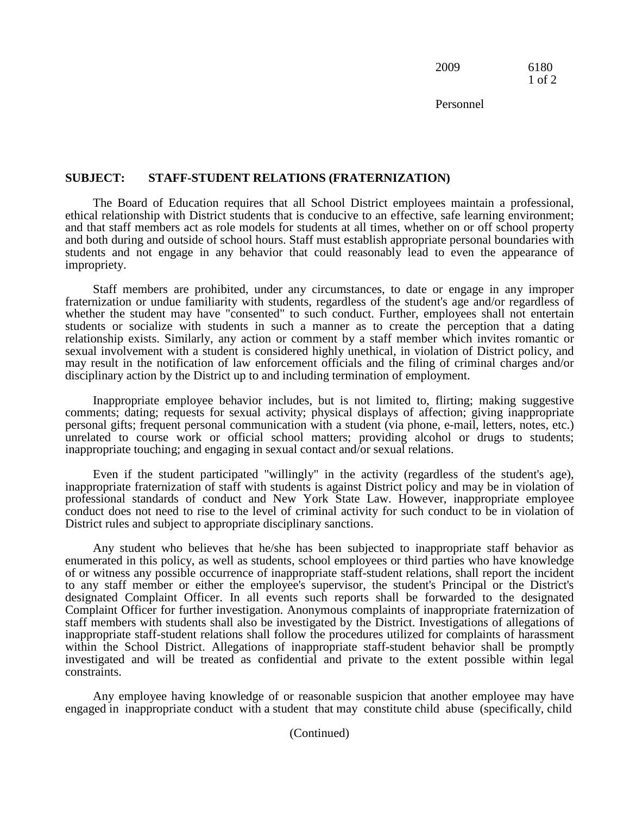2009 6180 1 of 2

Personnel

#### **SUBJECT: STAFF-STUDENT RELATIONS (FRATERNIZATION)**

The Board of Education requires that all School District employees maintain a professional, ethical relationship with District students that is conducive to an effective, safe learning environment; and that staff members act as role models for students at all times, whether on or off school property and both during and outside of school hours. Staff must establish appropriate personal boundaries with students and not engage in any behavior that could reasonably lead to even the appearance of impropriety.

 whether the student may have "consented" to such conduct. Further, employees shall not entertain relationship exists. Similarly, any action or comment by a staff member which invites romantic or Staff members are prohibited, under any circumstances, to date or engage in any improper fraternization or undue familiarity with students, regardless of the student's age and/or regardless of students or socialize with students in such a manner as to create the perception that a dating sexual involvement with a student is considered highly unethical, in violation of District policy, and may result in the notification of law enforcement officials and the filing of criminal charges and/or disciplinary action by the District up to and including termination of employment.

Inappropriate employee behavior includes, but is not limited to, flirting; making suggestive comments; dating; requests for sexual activity; physical displays of affection; giving inappropriate personal gifts; frequent personal communication with a student (via phone, e-mail, letters, notes, etc.) unrelated to course work or official school matters; providing alcohol or drugs to students; inappropriate touching; and engaging in sexual contact and/or sexual relations.

 Even if the student participated "willingly" in the activity (regardless of the student's age), District rules and subject to appropriate disciplinary sanctions. inappropriate fraternization of staff with students is against District policy and may be in violation of professional standards of conduct and New York State Law. However, inappropriate employee conduct does not need to rise to the level of criminal activity for such conduct to be in violation of

 Complaint Officer for further investigation. Anonymous complaints of inappropriate fraternization of inappropriate staff-student relations shall follow the procedures utilized for complaints of harassment Any student who believes that he/she has been subjected to inappropriate staff behavior as enumerated in this policy, as well as students, school employees or third parties who have knowledge of or witness any possible occurrence of inappropriate staff-student relations, shall report the incident to any staff member or either the employee's supervisor, the student's Principal or the District's designated Complaint Officer. In all events such reports shall be forwarded to the designated staff members with students shall also be investigated by the District. Investigations of allegations of within the School District. Allegations of inappropriate staff-student behavior shall be promptly investigated and will be treated as confidential and private to the extent possible within legal constraints.

 engaged in inappropriate conduct with a student that may constitute child abuse (specifically, child Any employee having knowledge of or reasonable suspicion that another employee may have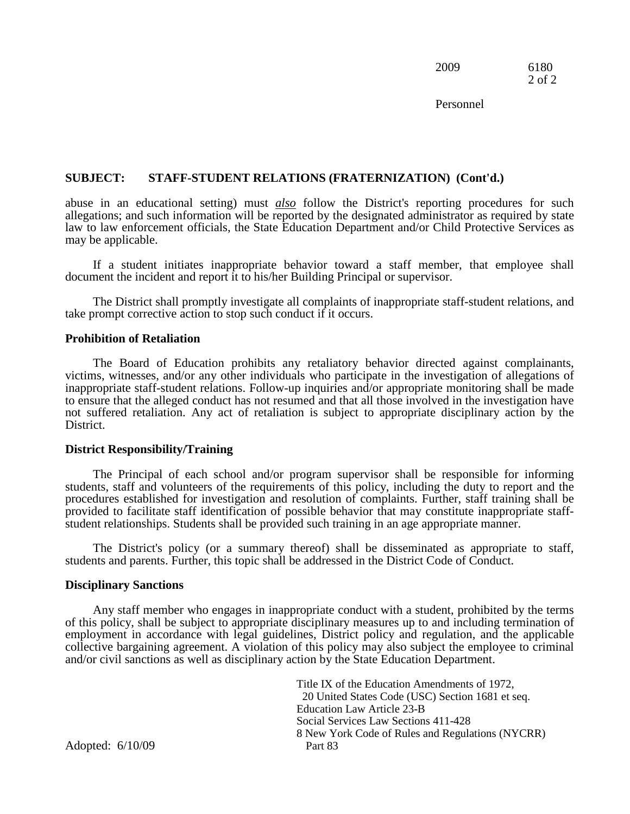2009 6180 2 of 2

Personnel

#### **SUBJECT: STAFF-STUDENT RELATIONS (FRATERNIZATION) (Cont'd.)**

abuse in an educational setting) must *also* follow the District's reporting procedures for such allocations; and such information will be reported by the designated edministrator as required by state. allegations; and such information will be reported by the designated administrator as required by state law to law enforcement officials, the State Education Department and/or Child Protective Services as may be applicable.

If a student initiates inappropriate behavior toward a staff member, that employee shall document the incident and report it to his/her Building Principal or supervisor.

The District shall promptly investigate all complaints of inappropriate staff-student relations, and take prompt corrective action to stop such conduct if it occurs.

#### **Prohibition of Retaliation**

 The Board of Education prohibits any retaliatory behavior directed against complainants, not suffered retaliation. Any act of retaliation is subject to appropriate disciplinary action by the victims, witnesses, and/or any other individuals who participate in the investigation of allegations of inappropriate staff-student relations. Follow-up inquiries and/or appropriate monitoring shall be made to ensure that the alleged conduct has not resumed and that all those involved in the investigation have District.

#### **District Responsibility/Training**

The Principal of each school and/or program supervisor shall be responsible for informing students, staff and volunteers of the requirements of this policy, including the duty to report and the procedures established for investigation and resolution of complaints. Further, staff training shall be provided to facilitate staff identification of possible behavior that may constitute inappropriate staff- student relationships. Students shall be provided such training in an age appropriate manner.

The District's policy (or a summary thereof) shall be disseminated as appropriate to staff, students and parents. Further, this topic shall be addressed in the District Code of Conduct.

#### **Disciplinary Sanctions**

 employment in accordance with legal guidelines, District policy and regulation, and the applicable Any staff member who engages in inappropriate conduct with a student, prohibited by the terms of this policy, shall be subject to appropriate disciplinary measures up to and including termination of collective bargaining agreement. A violation of this policy may also subject the employee to criminal and/or civil sanctions as well as disciplinary action by the State Education Department.

> 20 United States Code (USC) Section 1681 et seq. Title IX of the Education Amendments of 1972, Education Law Article 23-B Social Services Law Sections 411-428 8 New York Code of Rules and Regulations (NYCRR)

Adopted: 6/10/09 Part 83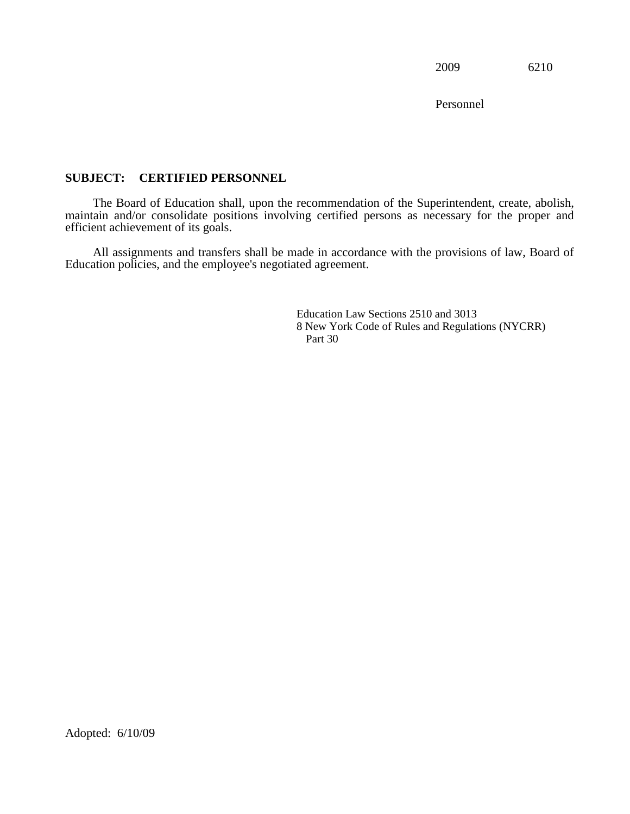Personnel

# **SUBJECT: CERTIFIED PERSONNEL**

The Board of Education shall, upon the recommendation of the Superintendent, create, abolish, maintain and/or consolidate positions involving certified persons as necessary for the proper and efficient achievement of its goals.

All assignments and transfers shall be made in accordance with the provisions of law, Board of Education policies, and the employee's negotiated agreement.

> Education Law Sections 2510 and 3013 8 New York Code of Rules and Regulations (NYCRR) Part 30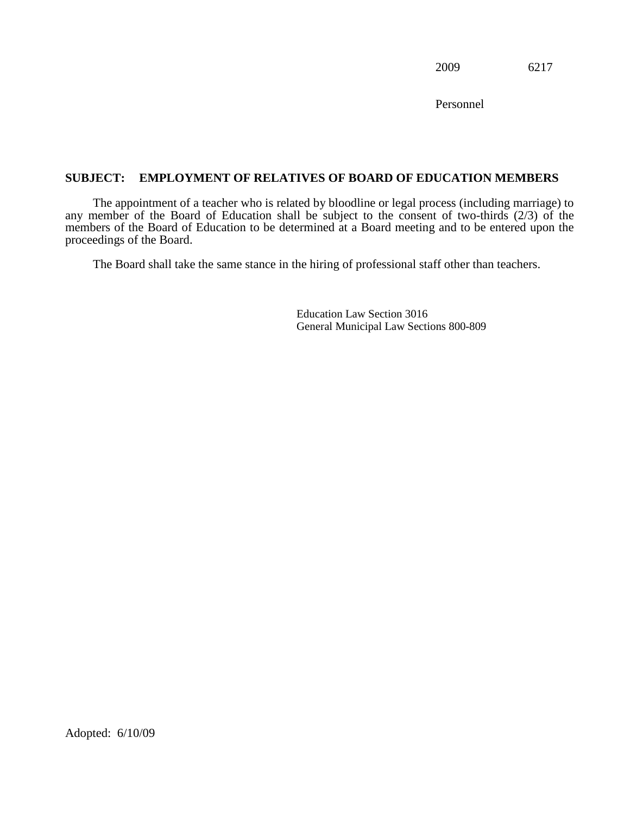Personnel

# **SUBJECT: EMPLOYMENT OF RELATIVES OF BOARD OF EDUCATION MEMBERS**

The appointment of a teacher who is related by bloodline or legal process (including marriage) to any member of the Board of Education shall be subject to the consent of two-thirds  $(2/3)$  of the members of the Board of Education to be determined at a Board meeting and to be entered upon the proceedings of the Board.

The Board shall take the same stance in the hiring of professional staff other than teachers.

Education Law Section 3016 General Municipal Law Sections 800-809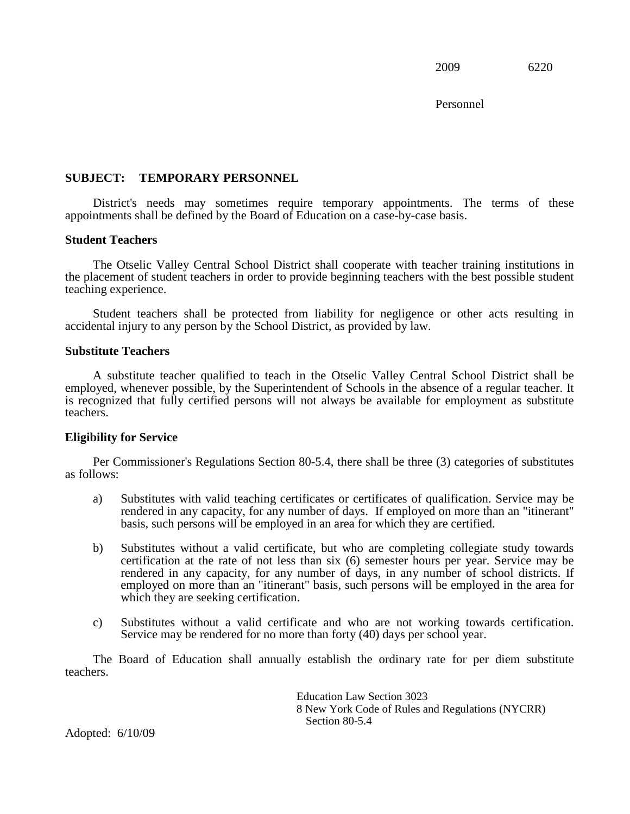Personnel

# **SUBJECT: TEMPORARY PERSONNEL**

District's needs may sometimes require temporary appointments. The terms of these appointments shall be defined by the Board of Education on a case-by-case basis.

#### **Student Teachers**

The Otselic Valley Central School District shall cooperate with teacher training institutions in the placement of student teachers in order to provide beginning teachers with the best possible student teaching experience.

Student teachers shall be protected from liability for negligence or other acts resulting in accidental injury to any person by the School District, as provided by law.

# **Substitute Teachers**

 employed, whenever possible, by the Superintendent of Schools in the absence of a regular teacher. It A substitute teacher qualified to teach in the Otselic Valley Central School District shall be is recognized that fully certified persons will not always be available for employment as substitute teachers.

#### **Eligibility for Service**

Per Commissioner's Regulations Section 80-5.4, there shall be three (3) categories of substitutes as follows:

- a) Substitutes with valid teaching certificates or certificates of qualification. Service may be rendered in any capacity, for any number of days. If employed on more than an "itinerant" basis, such persons will be employed in an area for which they are certified.
- b) Substitutes without a valid certificate, but who are completing collegiate study towards rendered in any capacity, for any number of days, in any number of school districts. If certification at the rate of not less than six (6) semester hours per year. Service may be employed on more than an "itinerant" basis, such persons will be employed in the area for which they are seeking certification.
- Service may be rendered for no more than forty (40) days per school year. c) Substitutes without a valid certificate and who are not working towards certification.

The Board of Education shall annually establish the ordinary rate for per diem substitute teachers.

> Education Law Section 3023 8 New York Code of Rules and Regulations (NYCRR) Section 80-5.4

Adopted: 6/10/09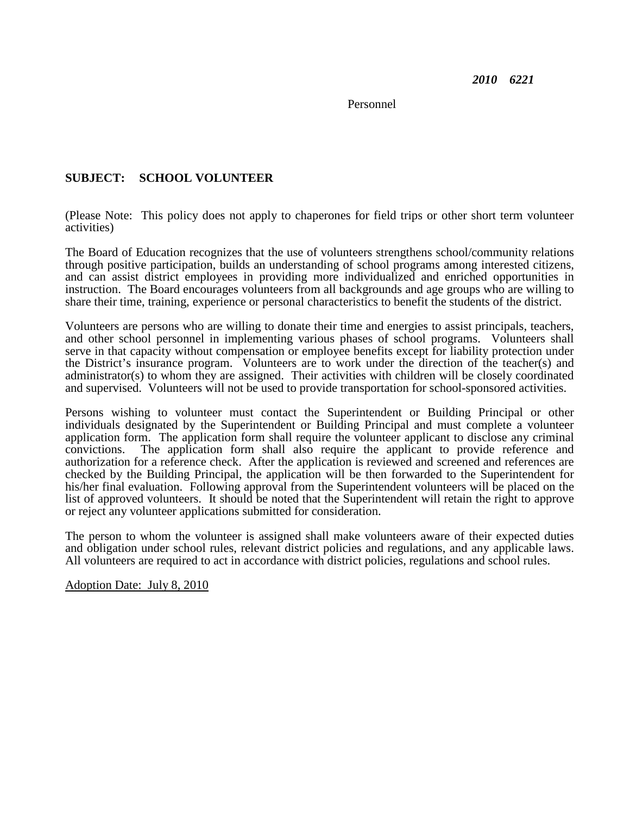Personnel

# **SUBJECT: SCHOOL VOLUNTEER**

(Please Note: This policy does not apply to chaperones for field trips or other short term volunteer activities)

 The Board of Education recognizes that the use of volunteers strengthens school/community relations and can assist district employees in providing more individualized and enriched opportunities in instruction. The Board encourages volunteers from all backgrounds and age groups who are willing to through positive participation, builds an understanding of school programs among interested citizens, share their time, training, experience or personal characteristics to benefit the students of the district.

 serve in that capacity without compensation or employee benefits except for liability protection under the District's insurance program. Volunteers are to work under the direction of the teacher(s) and Volunteers are persons who are willing to donate their time and energies to assist principals, teachers, and other school personnel in implementing various phases of school programs. Volunteers shall administrator(s) to whom they are assigned. Their activities with children will be closely coordinated and supervised. Volunteers will not be used to provide transportation for school-sponsored activities.

 authorization for a reference check. After the application is reviewed and screened and references are Persons wishing to volunteer must contact the Superintendent or Building Principal or other individuals designated by the Superintendent or Building Principal and must complete a volunteer application form. The application form shall require the volunteer applicant to disclose any criminal convictions. The application form shall also require the applicant to provide reference and checked by the Building Principal, the application will be then forwarded to the Superintendent for his/her final evaluation. Following approval from the Superintendent volunteers will be placed on the list of approved volunteers. It should be noted that the Superintendent will retain the right to approve or reject any volunteer applications submitted for consideration.

 and obligation under school rules, relevant district policies and regulations, and any applicable laws. The person to whom the volunteer is assigned shall make volunteers aware of their expected duties All volunteers are required to act in accordance with district policies, regulations and school rules.

Adoption Date: July 8, 2010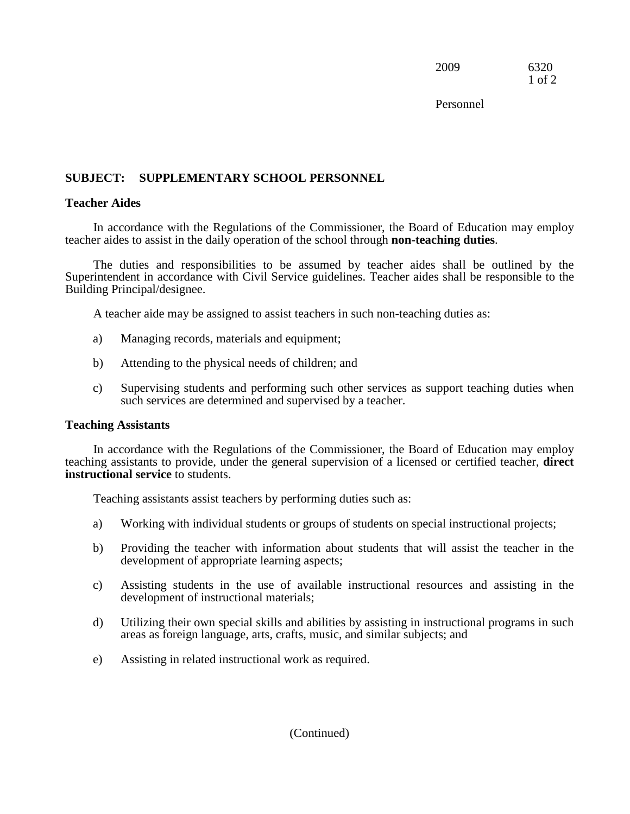2009 6320 1 of 2

Personnel

# **SUBJECT: SUPPLEMENTARY SCHOOL PERSONNEL**

# **Teacher Aides**

In accordance with the Regulations of the Commissioner, the Board of Education may employ teacher aides to assist in the daily operation of the school through **non-teaching duties**.

 Superintendent in accordance with Civil Service guidelines. Teacher aides shall be responsible to the The duties and responsibilities to be assumed by teacher aides shall be outlined by the Building Principal/designee.

A teacher aide may be assigned to assist teachers in such non-teaching duties as:

- Managing records, materials and equipment; a) Managing records, materials and equipment; b) Attending to the physical needs of children; and
- 
- c) Supervising students and performing such other services as support teaching duties when such services are determined and supervised by a teacher.

# **Teaching Assistants**

 **instructional service** to students. In accordance with the Regulations of the Commissioner, the Board of Education may employ teaching assistants to provide, under the general supervision of a licensed or certified teacher, **direct** 

Teaching assistants assist teachers by performing duties such as:

- Working with individual students or groups of students on special instructional projects;
- development of appropriate learning aspects; a) Working with individual students or groups of students on special instructional projects; b) Providing the teacher with information about students that will assist the teacher in the
- c) Assisting students in the use of available instructional resources and assisting in the development of instructional materials;
- d) Utilizing their own special skills and abilities by assisting in instructional programs in such areas as foreign language, arts, crafts, music, and similar subjects; and
- e) Assisting in related instructional work as required.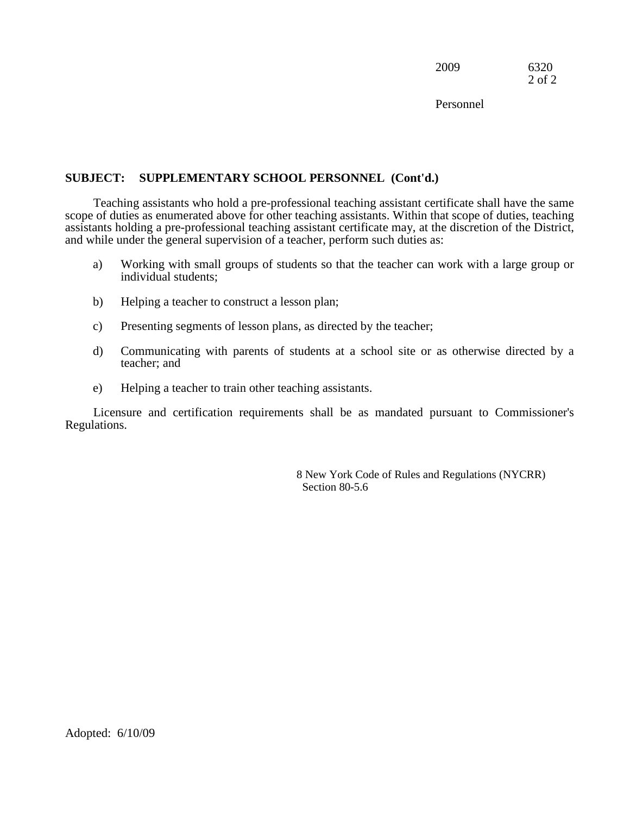2009 6320 2 of 2

Personnel

# **SUBJECT: SUPPLEMENTARY SCHOOL PERSONNEL (Cont'd.)**

and while under the general supervision of a teacher, perform such duties as: Teaching assistants who hold a pre-professional teaching assistant certificate shall have the same scope of duties as enumerated above for other teaching assistants. Within that scope of duties, teaching assistants holding a pre-professional teaching assistant certificate may, at the discretion of the District,

- individual students: a) Working with small groups of students so that the teacher can work with a large group or
- Helping a teacher to construct a lesson plan;
- individual students;<br>
b) Helping a teacher to construct a lesson plan;<br>
c) Presenting segments of lesson plans, as directed by the teacher;
- d) Communicating with parents of students at a school site or as otherwise directed by a teacher; and
- e) Helping a teacher to train other teaching assistants.

Licensure and certification requirements shall be as mandated pursuant to Commissioner's Regulations.

> 8 New York Code of Rules and Regulations (NYCRR) Section 80-5.6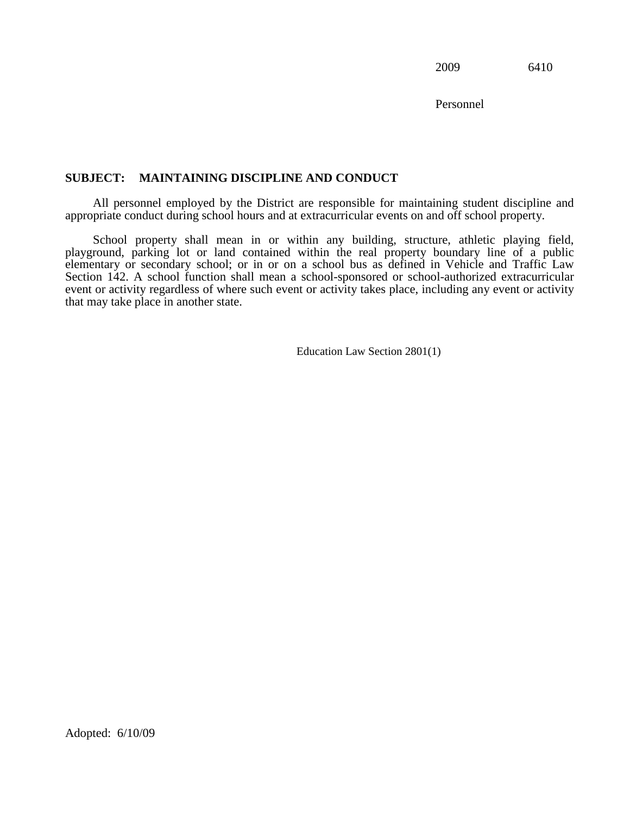Personnel

# **SUBJECT: MAINTAINING DISCIPLINE AND CONDUCT**

 appropriate conduct during school hours and at extracurricular events on and off school property. All personnel employed by the District are responsible for maintaining student discipline and

School property shall mean in or within any building, structure, athletic playing field, playground, parking lot or land contained within the real property boundary line of a public elementary or secondary school; or in or on a school bus as defined in Vehicle and Traffic Law Section 142. A school function shall mean a school-sponsored or school-authorized extracurricular event or activity regardless of where such event or activity takes place, including any event or activity that may take place in another state.

Education Law Section 2801(1) Education Law Section 2801(1) Adopted: 6/10/09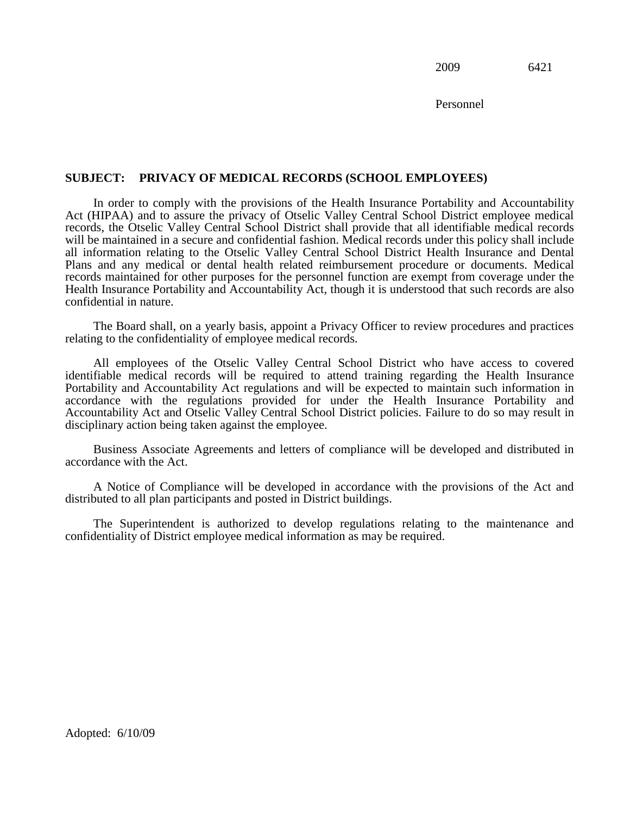Personnel

# **SUBJECT: PRIVACY OF MEDICAL RECORDS (SCHOOL EMPLOYEES)**

In order to comply with the provisions of the Health Insurance Portability and Accountability Act (HIPAA) and to assure the privacy of Otselic Valley Central School District employee medical records, the Otselic Valley Central School District shall provide that all identifiable medical records will be maintained in a secure and confidential fashion. Medical records under this policy shall include all information relating to the Otselic Valley Central School District Health Insurance and Dental Plans and any medical or dental health related reimbursement procedure or documents. Medical records maintained for other purposes for the personnel function are exempt from coverage under the Health Insurance Portability and Accountability Act, though it is understood that such records are also confidential in nature.

The Board shall, on a yearly basis, appoint a Privacy Officer to review procedures and practices relating to the confidentiality of employee medical records.

 disciplinary action being taken against the employee. All employees of the Otselic Valley Central School District who have access to covered identifiable medical records will be required to attend training regarding the Health Insurance Portability and Accountability Act regulations and will be expected to maintain such information in accordance with the regulations provided for under the Health Insurance Portability and Accountability Act and Otselic Valley Central School District policies. Failure to do so may result in

Business Associate Agreements and letters of compliance will be developed and distributed in accordance with the Act.

A Notice of Compliance will be developed in accordance with the provisions of the Act and distributed to all plan participants and posted in District buildings.

The Superintendent is authorized to develop regulations relating to the maintenance and confidentiality of District employee medical information as may be required.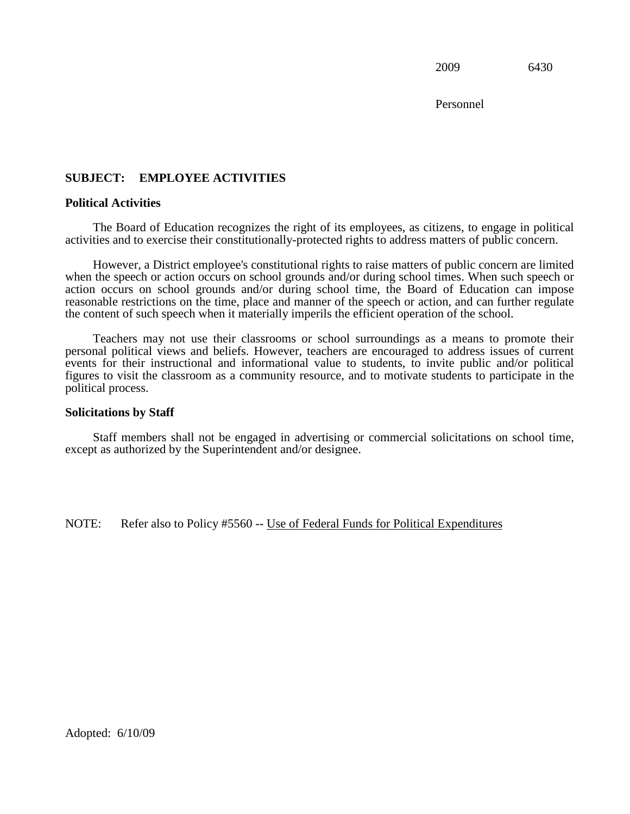Personnel

# **SUBJECT: EMPLOYEE ACTIVITIES Political Activities**

The Board of Education recognizes the right of its employees, as citizens, to engage in political activities and to exercise their constitutionally-protected rights to address matters of public concern.

However, a District employee's constitutional rights to raise matters of public concern are limited when the speech or action occurs on school grounds and/or during school times. When such speech or action occurs on school grounds and/or during school time, the Board of Education can impose reasonable restrictions on the time, place and manner of the speech or action, and can further regulate the content of such speech when it materially imperils the efficient operation of the school.

Teachers may not use their classrooms or school surroundings as a means to promote their personal political views and beliefs. However, teachers are encouraged to address issues of current events for their instructional and informational value to students, to invite public and/or political figures to visit the classroom as a community resource, and to motivate students to participate in the political process.

#### **Solicitations by Staff**

Staff members shall not be engaged in advertising or commercial solicitations on school time, except as authorized by the Superintendent and/or designee.

NOTE: Refer also to Policy #5560 -- Use of Federal Funds for Political Expenditures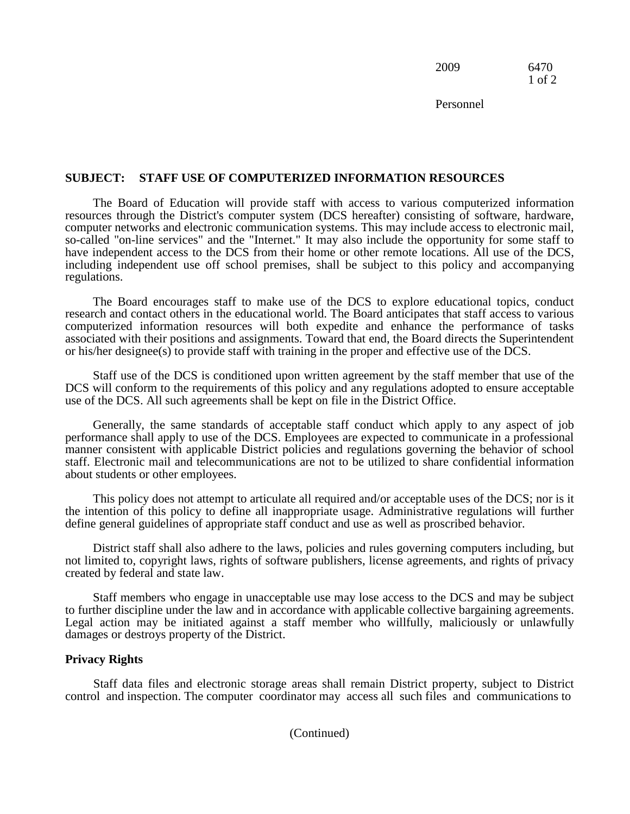2009 6470 1 of 2

Personnel

# **SUBJECT: STAFF USE OF COMPUTERIZED INFORMATION RESOURCES**

The Board of Education will provide staff with access to various computerized information resources through the District's computer system (DCS hereafter) consisting of software, hardware, computer networks and electronic communication systems. This may include access to electronic mail, so-called "on-line services" and the "Internet." It may also include the opportunity for some staff to have independent access to the DCS from their home or other remote locations. All use of the DCS, including independent use off school premises, shall be subject to this policy and accompanying regulations.

 research and contact others in the educational world. The Board anticipates that staff access to various associated with their positions and assignments. Toward that end, the Board directs the Superintendent The Board encourages staff to make use of the DCS to explore educational topics, conduct computerized information resources will both expedite and enhance the performance of tasks or his/her designee(s) to provide staff with training in the proper and effective use of the DCS.

Staff use of the DCS is conditioned upon written agreement by the staff member that use of the DCS will conform to the requirements of this policy and any regulations adopted to ensure acceptable use of the DCS. All such agreements shall be kept on file in the District Office.

Generally, the same standards of acceptable staff conduct which apply to any aspect of job performance shall apply to use of the DCS. Employees are expected to communicate in a professional manner consistent with applicable District policies and regulations governing the behavior of school staff. Electronic mail and telecommunications are not to be utilized to share confidential information about students or other employees.

This policy does not attempt to articulate all required and/or acceptable uses of the DCS; nor is it the intention of this policy to define all inappropriate usage. Administrative regulations will further define general guidelines of appropriate staff conduct and use as well as proscribed behavior.

 District staff shall also adhere to the laws, policies and rules governing computers including, but not limited to, copyright laws, rights of software publishers, license agreements, and rights of privacy created by federal and state law.

Staff members who engage in unacceptable use may lose access to the DCS and may be subject to further discipline under the law and in accordance with applicable collective bargaining agreements. Legal action may be initiated against a staff member who willfully, maliciously or unlawfully damages or destroys property of the District.

#### **Privacy Rights**

 control and inspection. The computer coordinator may access all such files and communications to Staff data files and electronic storage areas shall remain District property, subject to District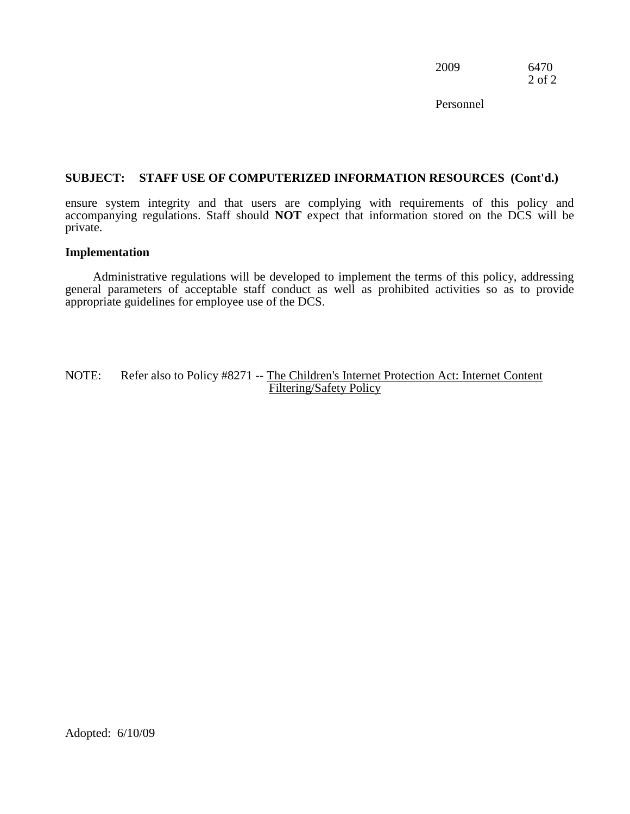2009 6470 2 of 2

Personnel

# **SUBJECT: STAFF USE OF COMPUTERIZED INFORMATION RESOURCES (Cont'd.)**

ensure system integrity and that users are complying with requirements of this policy and accompanying regulations. Staff should **NOT** expect that information stored on the DCS will be private.

#### **Implementation**

 Administrative regulations will be developed to implement the terms of this policy, addressing general parameters of acceptable staff conduct as well as prohibited activities so as to provide appropriate guidelines for employee use of the DCS.

NOTE: Refer also to Policy #8271 -- The Children's Internet Protection Act: Internet Content Filtering/Safety Policy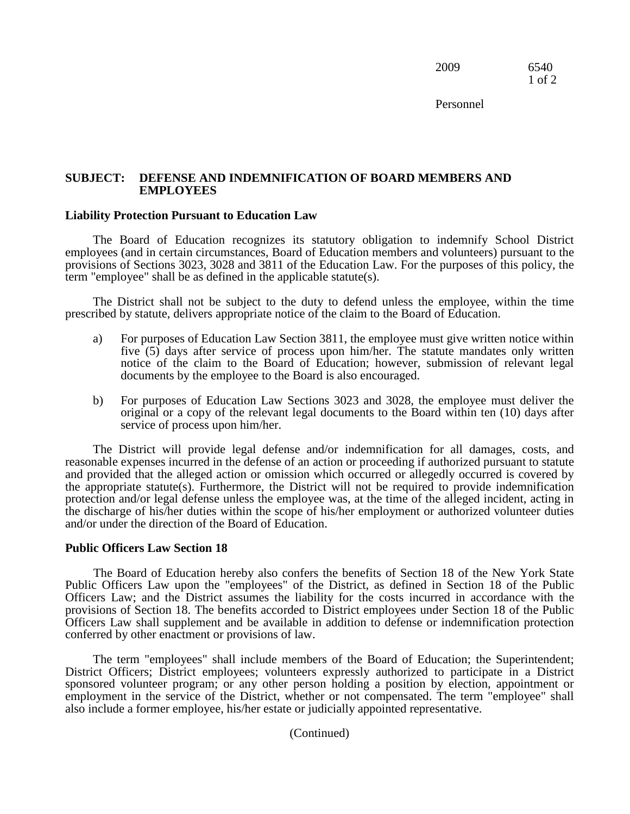2009 6540 1 of 2

Personnel

#### **SUBJECT: DEFENSE AND INDEMNIFICATION OF BOARD MEMBERS AND EMPLOYEES**

#### **Liability Protection Pursuant to Education Law**

 The Board of Education recognizes its statutory obligation to indemnify School District employees (and in certain circumstances, Board of Education members and volunteers) pursuant to the provisions of Sections 3023, 3028 and 3811 of the Education Law. For the purposes of this policy, the term "employee" shall be as defined in the applicable statute(s).

The District shall not be subject to the duty to defend unless the employee, within the time prescribed by statute, delivers appropriate notice of the claim to the Board of Education.

- five (5) days after service of process upon him/her. The statute mandates only written a) For purposes of Education Law Section 3811, the employee must give written notice within notice of the claim to the Board of Education; however, submission of relevant legal documents by the employee to the Board is also encouraged.
- b) For purposes of Education Law Sections 3023 and 3028, the employee must deliver the original or a copy of the relevant legal documents to the Board within ten (10) days after service of process upon him/her.

 protection and/or legal defense unless the employee was, at the time of the alleged incident, acting in The District will provide legal defense and/or indemnification for all damages, costs, and reasonable expenses incurred in the defense of an action or proceeding if authorized pursuant to statute and provided that the alleged action or omission which occurred or allegedly occurred is covered by the appropriate statute(s). Furthermore, the District will not be required to provide indemnification the discharge of his/her duties within the scope of his/her employment or authorized volunteer duties and/or under the direction of the Board of Education.

#### **Public Officers Law Section 18**

The Board of Education hereby also confers the benefits of Section 18 of the New York State Public Officers Law upon the "employees" of the District, as defined in Section 18 of the Public Officers Law; and the District assumes the liability for the costs incurred in accordance with the provisions of Section 18. The benefits accorded to District employees under Section 18 of the Public Officers Law shall supplement and be available in addition to defense or indemnification protection conferred by other enactment or provisions of law.

 District Officers; District employees; volunteers expressly authorized to participate in a District The term "employees" shall include members of the Board of Education; the Superintendent; sponsored volunteer program; or any other person holding a position by election, appointment or employment in the service of the District, whether or not compensated. The term "employee" shall also include a former employee, his/her estate or judicially appointed representative.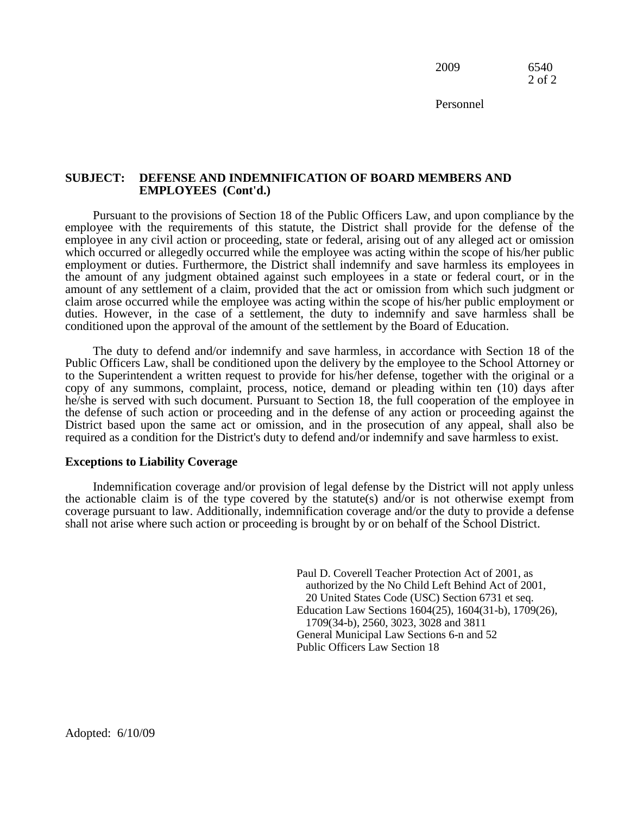2009 6540 2 of 2

Personnel

#### **SUBJECT: DEFENSE AND INDEMNIFICATION OF BOARD MEMBERS AND EMPLOYEES (Cont'd.)**

Pursuant to the provisions of Section 18 of the Public Officers Law, and upon compliance by the employee with the requirements of this statute, the District shall provide for the defense of the employee in any civil action or proceeding, state or federal, arising out of any alleged act or omission which occurred or allegedly occurred while the employee was acting within the scope of his/her public employment or duties. Furthermore, the District shall indemnify and save harmless its employees in the amount of any judgment obtained against such employees in a state or federal court, or in the amount of any settlement of a claim, provided that the act or omission from which such judgment or claim arose occurred while the employee was acting within the scope of his/her public employment or duties. However, in the case of a settlement, the duty to indemnify and save harmless shall be conditioned upon the approval of the amount of the settlement by the Board of Education.

 The duty to defend and/or indemnify and save harmless, in accordance with Section 18 of the Public Officers Law, shall be conditioned upon the delivery by the employee to the School Attorney or to the Superintendent a written request to provide for his/her defense, together with the original or a copy of any summons, complaint, process, notice, demand or pleading within ten (10) days after he/she is served with such document. Pursuant to Section 18, the full cooperation of the employee in the defense of such action or proceeding and in the defense of any action or proceeding against the District based upon the same act or omission, and in the prosecution of any appeal, shall also be required as a condition for the District's duty to defend and/or indemnify and save harmless to exist.

#### **Exceptions to Liability Coverage**

 coverage pursuant to law. Additionally, indemnification coverage and/or the duty to provide a defense Indemnification coverage and/or provision of legal defense by the District will not apply unless the actionable claim is of the type covered by the statute(s) and/or is not otherwise exempt from shall not arise where such action or proceeding is brought by or on behalf of the School District.

> authorized by the No Child Left Behind Act of 2001, Paul D. Coverell Teacher Protection Act of 2001, as 20 United States Code (USC) Section 6731 et seq. Education Law Sections 1604(25), 1604(31-b), 1709(26), 1709(34-b), 2560, 3023, 3028 and 3811 General Municipal Law Sections 6-n and 52 Public Officers Law Section 18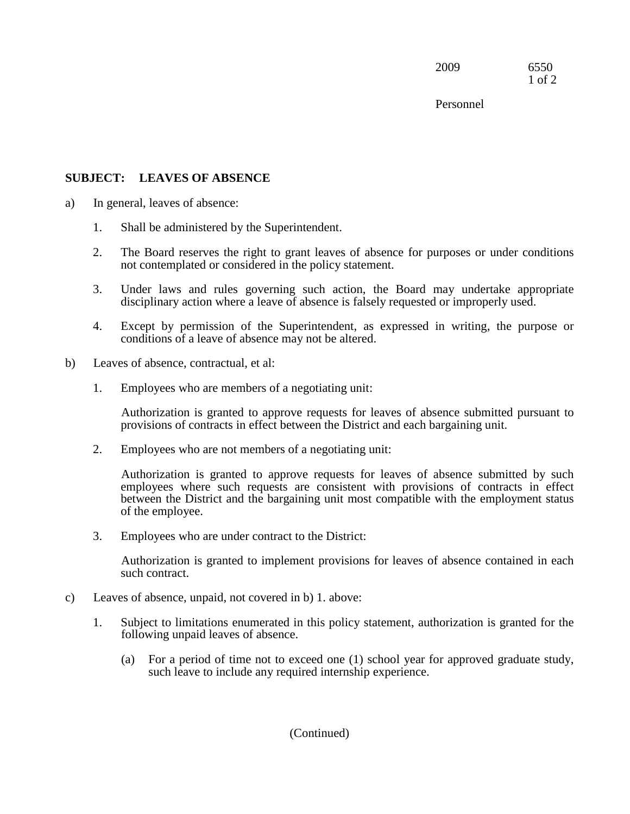2009 6550 1 of 2

Personnel

# **SUBJECT: LEAVES OF ABSENCE**

- a) In general, leaves of absence:
	- 1. Shall be administered by the Superintendent.
	- 2. The Board reserves the right to grant leaves of absence for purposes or under conditions not contemplated or considered in the policy statement.
	- 3. Under laws and rules governing such action, the Board may undertake appropriate disciplinary action where a leave of absence is falsely requested or improperly used.
	- conditions of a leave of absence may not be altered. 4. Except by permission of the Superintendent, as expressed in writing, the purpose or
- b) Leaves of absence, contractual, et al:
	- 1. Employees who are members of a negotiating unit:

Authorization is granted to approve requests for leaves of absence submitted pursuant to provisions of contracts in effect between the District and each bargaining unit.

2. Employees who are not members of a negotiating unit:

Authorization is granted to approve requests for leaves of absence submitted by such employees where such requests are consistent with provisions of contracts in effect between the District and the bargaining unit most compatible with the employment status of the employee.

3. Employees who are under contract to the District:

Authorization is granted to implement provisions for leaves of absence contained in each such contract.

- c) Leaves of absence, unpaid, not covered in b) 1. above:
	- 1. Subject to limitations enumerated in this policy statement, authorization is granted for the following unpaid leaves of absence.
		- (a) For a period of time not to exceed one (1) school year for approved graduate study, such leave to include any required internship experience.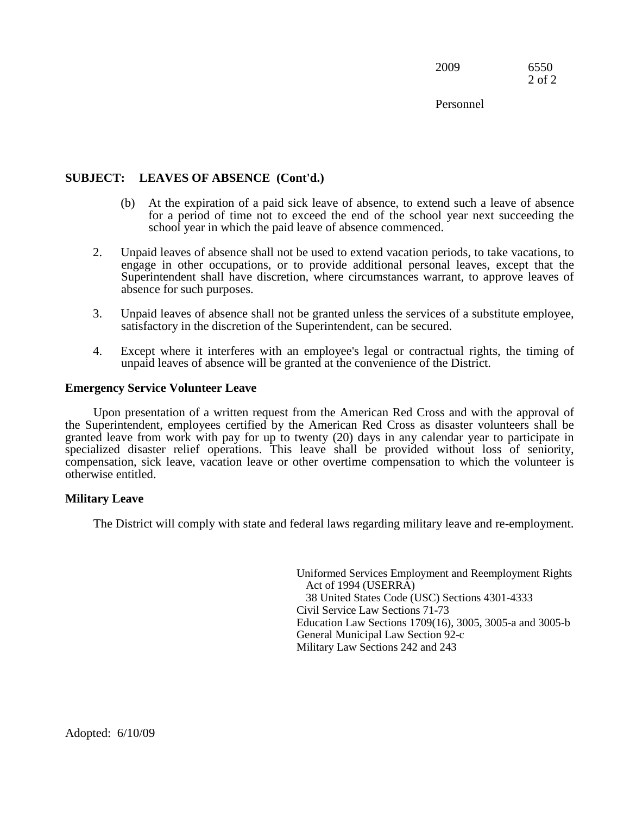2009 6550 2 of 2

Personnel

# **SUBJECT: LEAVES OF ABSENCE (Cont'd.)**

- (b) At the expiration of a paid sick leave of absence, to extend such a leave of absence for a period of time not to exceed the end of the school year next succeeding the school year in which the paid leave of absence commenced.
- 2. Unpaid leaves of absence shall not be used to extend vacation periods, to take vacations, to engage in other occupations, or to provide additional personal leaves, except that the Superintendent shall have discretion, where circumstances warrant, to approve leaves of absence for such purposes.
- 3. Unpaid leaves of absence shall not be granted unless the services of a substitute employee, satisfactory in the discretion of the Superintendent, can be secured.
- 4. Except where it interferes with an employee's legal or contractual rights, the timing of unpaid leaves of absence will be granted at the convenience of the District.

#### **Emergency Service Volunteer Leave**

Upon presentation of a written request from the American Red Cross and with the approval of the Superintendent, employees certified by the American Red Cross as disaster volunteers shall be granted leave from work with pay for up to twenty (20) days in any calendar year to participate in specialized disaster relief operations. This leave shall be provided without loss of seniority, compensation, sick leave, vacation leave or other overtime compensation to which the volunteer is otherwise entitled.

# **Military Leave**

The District will comply with state and federal laws regarding military leave and re-employment.

Uniformed Services Employment and Reemployment Rights Act of 1994 (USERRA) 38 United States Code (USC) Sections 4301-4333 Civil Service Law Sections 71-73 Education Law Sections 1709(16), 3005, 3005-a and 3005-b General Municipal Law Section 92-c Military Law Sections 242 and 243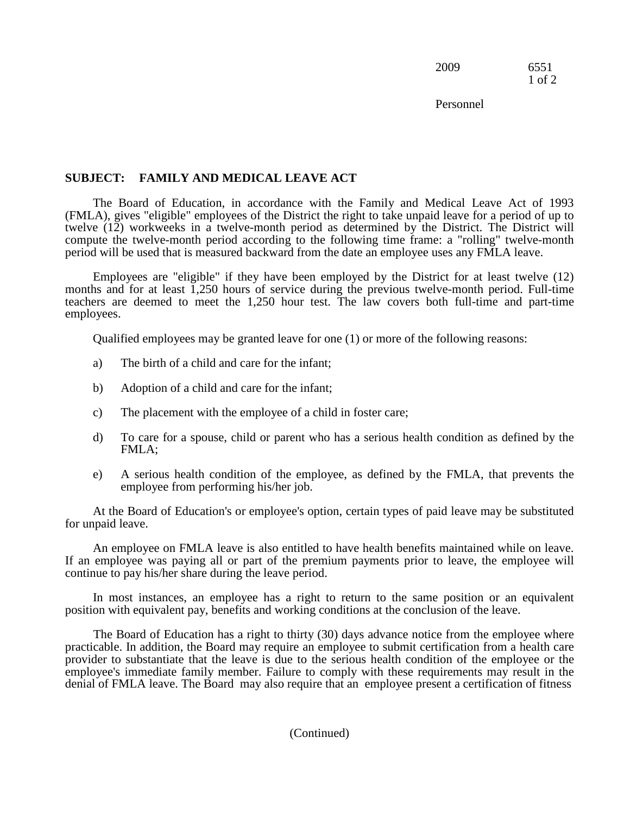2009 6551 1 of 2

Personnel

# **SUBJECT: FAMILY AND MEDICAL LEAVE ACT**

The Board of Education, in accordance with the Family and Medical Leave Act of 1993 (FMLA), gives "eligible" employees of the District the right to take unpaid leave for a period of up to twelve (12) workweeks in a twelve-month period as determined by the District. The District will compute the twelve-month period according to the following time frame: a "rolling" twelve-month period will be used that is measured backward from the date an employee uses any FMLA leave.

Employees are "eligible" if they have been employed by the District for at least twelve (12) months and for at least 1,250 hours of service during the previous twelve-month period. Full-time teachers are deemed to meet the 1,250 hour test. The law covers both full-time and part-time employees.

Qualified employees may be granted leave for one (1) or more of the following reasons:

- a) The birth of a child and care for the infant;
- b) Adoption of a child and care for the infant;
- c) The placement with the employee of a child in foster care;
- d) To care for a spouse, child or parent who has a serious health condition as defined by the FMLA;
- e) A serious health condition of the employee, as defined by the FMLA, that prevents the employee from performing his/her job.

 At the Board of Education's or employee's option, certain types of paid leave may be substituted for unpaid leave.

 An employee on FMLA leave is also entitled to have health benefits maintained while on leave. If an employee was paying all or part of the premium payments prior to leave, the employee will continue to pay his/her share during the leave period.

In most instances, an employee has a right to return to the same position or an equivalent position with equivalent pay, benefits and working conditions at the conclusion of the leave.

 employee's immediate family member. Failure to comply with these requirements may result in the denial of FMLA leave. The Board may also require that an employee present a certification of fitness The Board of Education has a right to thirty (30) days advance notice from the employee where practicable. In addition, the Board may require an employee to submit certification from a health care provider to substantiate that the leave is due to the serious health condition of the employee or the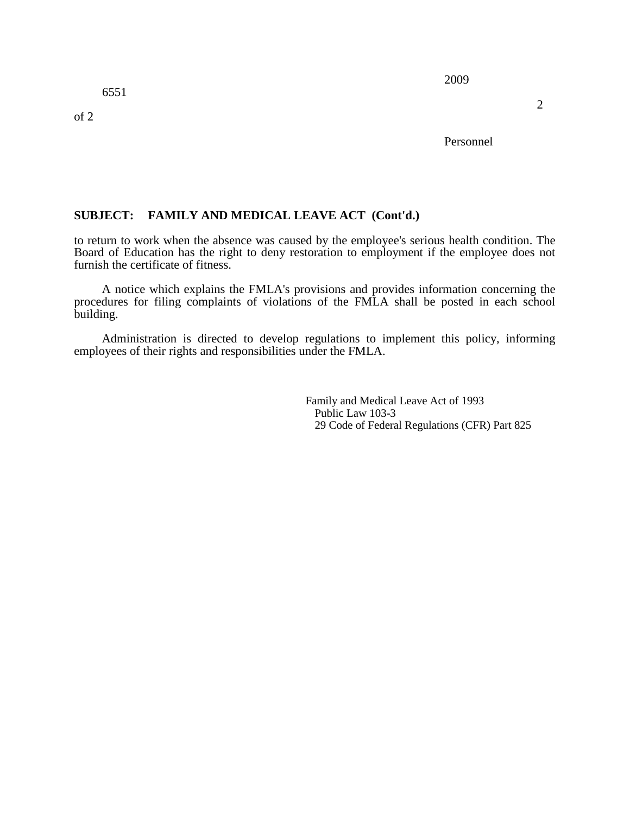of 2

Personnel

# **SUBJECT: FAMILY AND MEDICAL LEAVE ACT (Cont'd.)**

 to return to work when the absence was caused by the employee's serious health condition. The Board of Education has the right to deny restoration to employment if the employee does not furnish the certificate of fitness.

A notice which explains the FMLA's provisions and provides information concerning the procedures for filing complaints of violations of the FMLA shall be posted in each school building.

 employees of their rights and responsibilities under the FMLA. Administration is directed to develop regulations to implement this policy, informing

> 29 Code of Federal Regulations (CFR) Part 825 Family and Medical Leave Act of 1993 Public Law 103-3